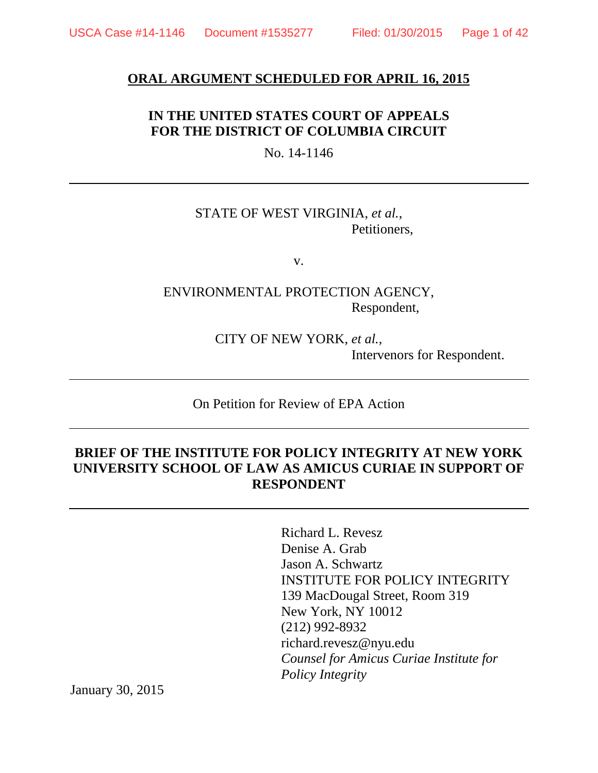#### **ORAL ARGUMENT SCHEDULED FOR APRIL 16, 2015**

## **IN THE UNITED STATES COURT OF APPEALS FOR THE DISTRICT OF COLUMBIA CIRCUIT**

No. 14-1146

### STATE OF WEST VIRGINIA, *et al.*, Petitioners,

v.

ENVIRONMENTAL PROTECTION AGENCY, Respondent,

> CITY OF NEW YORK, *et al.*, Intervenors for Respondent.

On Petition for Review of EPA Action

## **BRIEF OF THE INSTITUTE FOR POLICY INTEGRITY AT NEW YORK UNIVERSITY SCHOOL OF LAW AS AMICUS CURIAE IN SUPPORT OF RESPONDENT**

Richard L. Revesz Denise A. Grab Jason A. Schwartz INSTITUTE FOR POLICY INTEGRITY 139 MacDougal Street, Room 319 New York, NY 10012 (212) 992-8932 richard.revesz@nyu.edu *Counsel for Amicus Curiae Institute for Policy Integrity*

January 30, 2015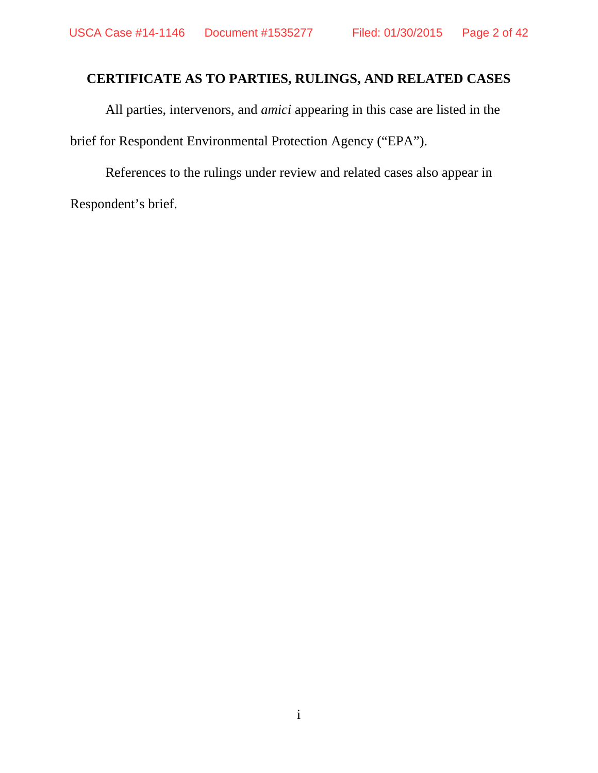## **CERTIFICATE AS TO PARTIES, RULINGS, AND RELATED CASES**

All parties, intervenors, and *amici* appearing in this case are listed in the brief for Respondent Environmental Protection Agency ("EPA").

References to the rulings under review and related cases also appear in Respondent's brief.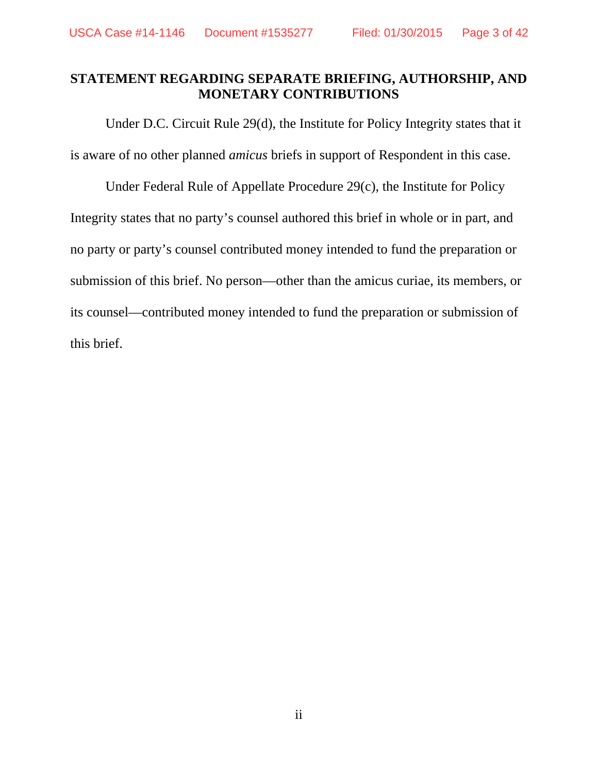## **STATEMENT REGARDING SEPARATE BRIEFING, AUTHORSHIP, AND MONETARY CONTRIBUTIONS**

Under D.C. Circuit Rule 29(d), the Institute for Policy Integrity states that it is aware of no other planned *amicus* briefs in support of Respondent in this case.

Under Federal Rule of Appellate Procedure 29(c), the Institute for Policy Integrity states that no party's counsel authored this brief in whole or in part, and no party or party's counsel contributed money intended to fund the preparation or submission of this brief. No person—other than the amicus curiae, its members, or its counsel—contributed money intended to fund the preparation or submission of this brief.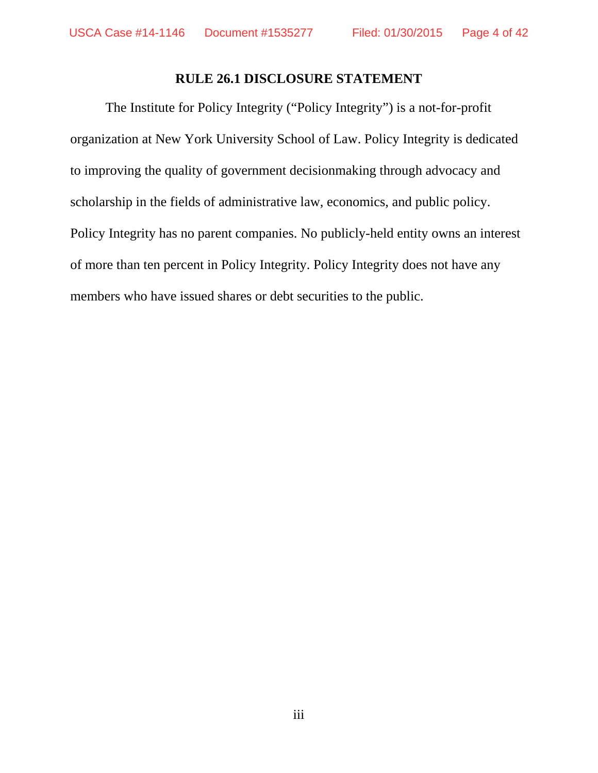## **RULE 26.1 DISCLOSURE STATEMENT**

The Institute for Policy Integrity ("Policy Integrity") is a not-for-profit organization at New York University School of Law. Policy Integrity is dedicated to improving the quality of government decisionmaking through advocacy and scholarship in the fields of administrative law, economics, and public policy. Policy Integrity has no parent companies. No publicly-held entity owns an interest of more than ten percent in Policy Integrity. Policy Integrity does not have any members who have issued shares or debt securities to the public.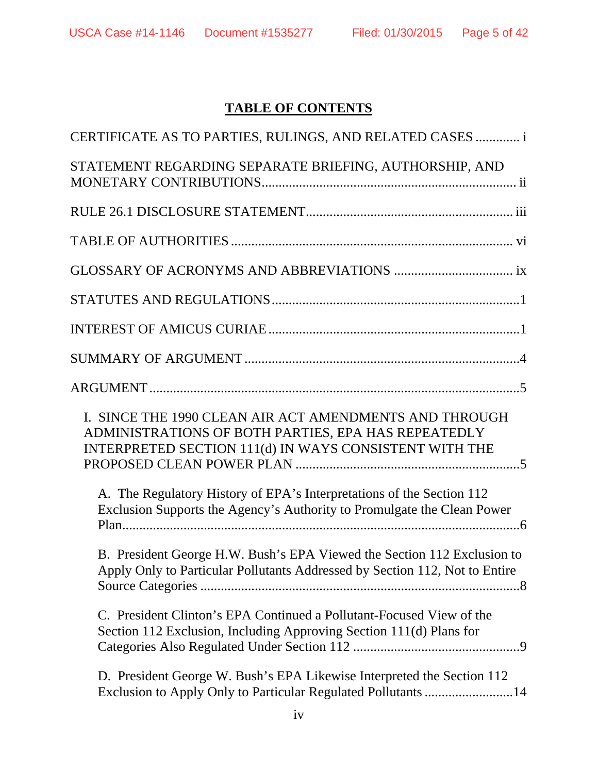# **TABLE OF CONTENTS**

| CERTIFICATE AS TO PARTIES, RULINGS, AND RELATED CASES  i                                                                                                                |
|-------------------------------------------------------------------------------------------------------------------------------------------------------------------------|
| STATEMENT REGARDING SEPARATE BRIEFING, AUTHORSHIP, AND                                                                                                                  |
|                                                                                                                                                                         |
|                                                                                                                                                                         |
|                                                                                                                                                                         |
|                                                                                                                                                                         |
|                                                                                                                                                                         |
|                                                                                                                                                                         |
|                                                                                                                                                                         |
| I. SINCE THE 1990 CLEAN AIR ACT AMENDMENTS AND THROUGH<br>ADMINISTRATIONS OF BOTH PARTIES, EPA HAS REPEATEDLY<br>INTERPRETED SECTION 111(d) IN WAYS CONSISTENT WITH THE |
| A. The Regulatory History of EPA's Interpretations of the Section 112<br>Exclusion Supports the Agency's Authority to Promulgate the Clean Power                        |
| B. President George H.W. Bush's EPA Viewed the Section 112 Exclusion to<br>Apply Only to Particular Pollutants Addressed by Section 112, Not to Entire                  |
| C. President Clinton's EPA Continued a Pollutant-Focused View of the<br>Section 112 Exclusion, Including Approving Section 111(d) Plans for                             |
| D. President George W. Bush's EPA Likewise Interpreted the Section 112<br>Exclusion to Apply Only to Particular Regulated Pollutants 14                                 |
|                                                                                                                                                                         |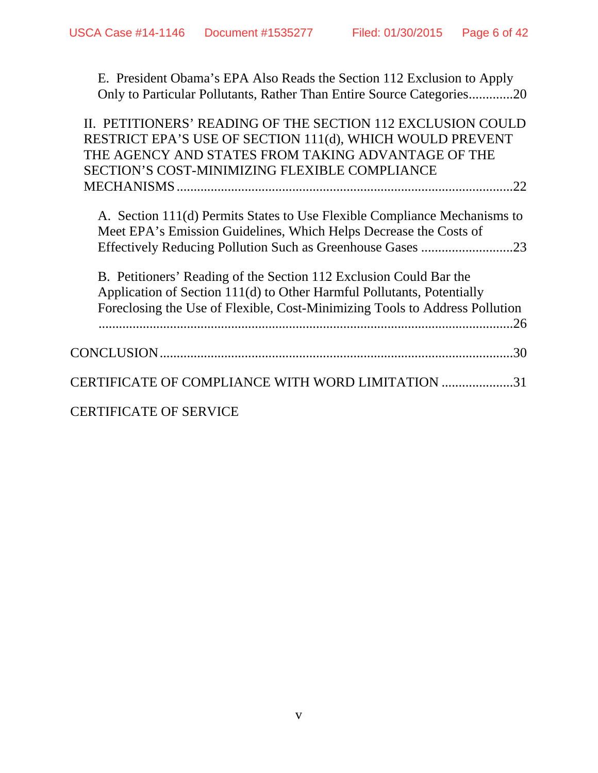E. President Obama's EPA Also Reads the Section 112 Exclusion to Apply Only to Particular Pollutants, Rather Than Entire Source Categories .............20

| II. PETITIONERS' READING OF THE SECTION 112 EXCLUSION COULD<br>RESTRICT EPA'S USE OF SECTION 111(d), WHICH WOULD PREVENT<br>THE AGENCY AND STATES FROM TAKING ADVANTAGE OF THE<br>SECTION'S COST-MINIMIZING FLEXIBLE COMPLIANCE |
|---------------------------------------------------------------------------------------------------------------------------------------------------------------------------------------------------------------------------------|
| .22                                                                                                                                                                                                                             |
| A. Section 111(d) Permits States to Use Flexible Compliance Mechanisms to<br>Meet EPA's Emission Guidelines, Which Helps Decrease the Costs of<br>.23                                                                           |
| B. Petitioners' Reading of the Section 112 Exclusion Could Bar the                                                                                                                                                              |
| Application of Section 111(d) to Other Harmful Pollutants, Potentially                                                                                                                                                          |
| Foreclosing the Use of Flexible, Cost-Minimizing Tools to Address Pollution<br>.26                                                                                                                                              |
| .30                                                                                                                                                                                                                             |
| CERTIFICATE OF COMPLIANCE WITH WORD LIMITATION 31                                                                                                                                                                               |
| <b>CERTIFICATE OF SERVICE</b>                                                                                                                                                                                                   |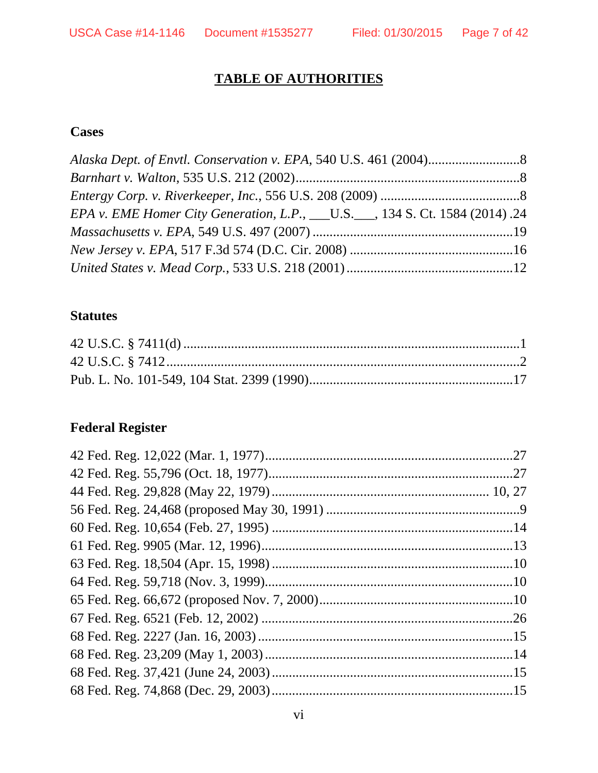# **TABLE OF AUTHORITIES**

## **Cases**

| EPA v. EME Homer City Generation, L.P., ___U.S.___, 134 S. Ct. 1584 (2014).24 |  |
|-------------------------------------------------------------------------------|--|
|                                                                               |  |
|                                                                               |  |
|                                                                               |  |

## **Statutes**

# **Federal Register**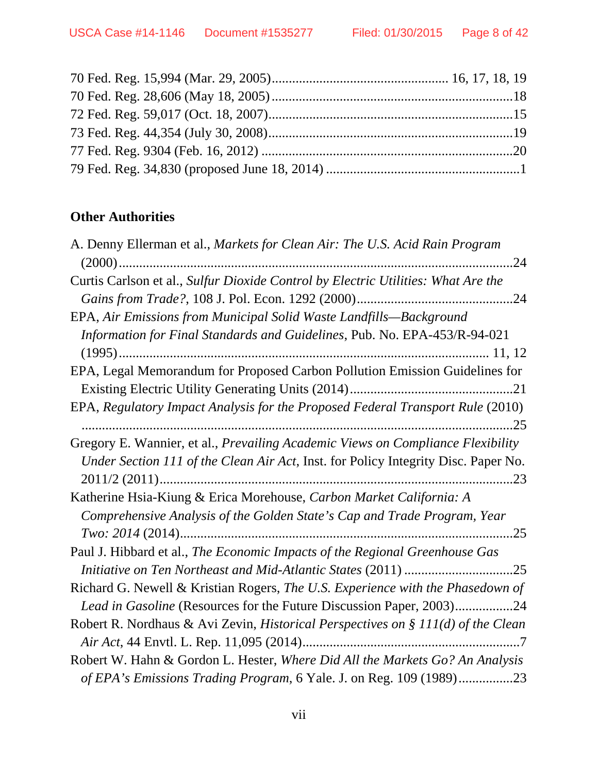## **Other Authorities**

| A. Denny Ellerman et al., Markets for Clean Air: The U.S. Acid Rain Program        |
|------------------------------------------------------------------------------------|
|                                                                                    |
| Curtis Carlson et al., Sulfur Dioxide Control by Electric Utilities: What Are the  |
|                                                                                    |
| EPA, Air Emissions from Municipal Solid Waste Landfills—Background                 |
| Information for Final Standards and Guidelines, Pub. No. EPA-453/R-94-021          |
|                                                                                    |
| EPA, Legal Memorandum for Proposed Carbon Pollution Emission Guidelines for        |
|                                                                                    |
| EPA, Regulatory Impact Analysis for the Proposed Federal Transport Rule (2010)     |
|                                                                                    |
| Gregory E. Wannier, et al., Prevailing Academic Views on Compliance Flexibility    |
| Under Section 111 of the Clean Air Act, Inst. for Policy Integrity Disc. Paper No. |
|                                                                                    |
| Katherine Hsia-Kiung & Erica Morehouse, Carbon Market California: A                |
| Comprehensive Analysis of the Golden State's Cap and Trade Program, Year           |
|                                                                                    |
| Paul J. Hibbard et al., The Economic Impacts of the Regional Greenhouse Gas        |
|                                                                                    |
| Richard G. Newell & Kristian Rogers, The U.S. Experience with the Phasedown of     |
| Lead in Gasoline (Resources for the Future Discussion Paper, 2003)24               |
| Robert R. Nordhaus & Avi Zevin, Historical Perspectives on § 111(d) of the Clean   |
|                                                                                    |
| Robert W. Hahn & Gordon L. Hester, Where Did All the Markets Go? An Analysis       |
| of EPA's Emissions Trading Program, 6 Yale. J. on Reg. 109 (1989)23                |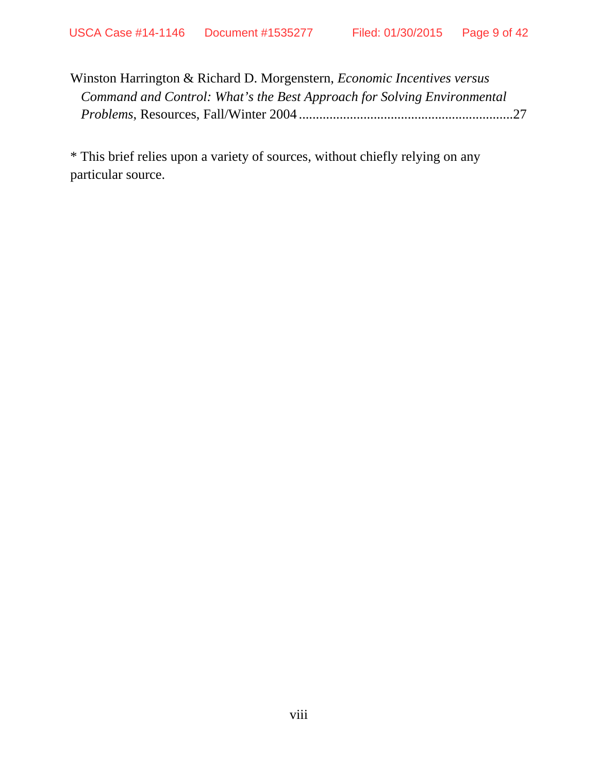| Winston Harrington & Richard D. Morgenstern, <i>Economic Incentives versus</i> |  |
|--------------------------------------------------------------------------------|--|
| Command and Control: What's the Best Approach for Solving Environmental        |  |
|                                                                                |  |

\* This brief relies upon a variety of sources, without chiefly relying on any particular source.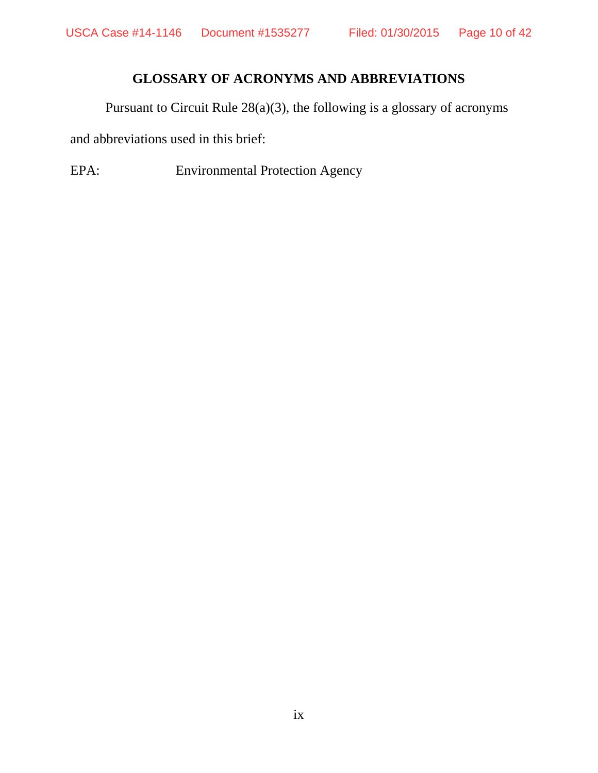## **GLOSSARY OF ACRONYMS AND ABBREVIATIONS**

Pursuant to Circuit Rule 28(a)(3), the following is a glossary of acronyms

and abbreviations used in this brief:

EPA: Environmental Protection Agency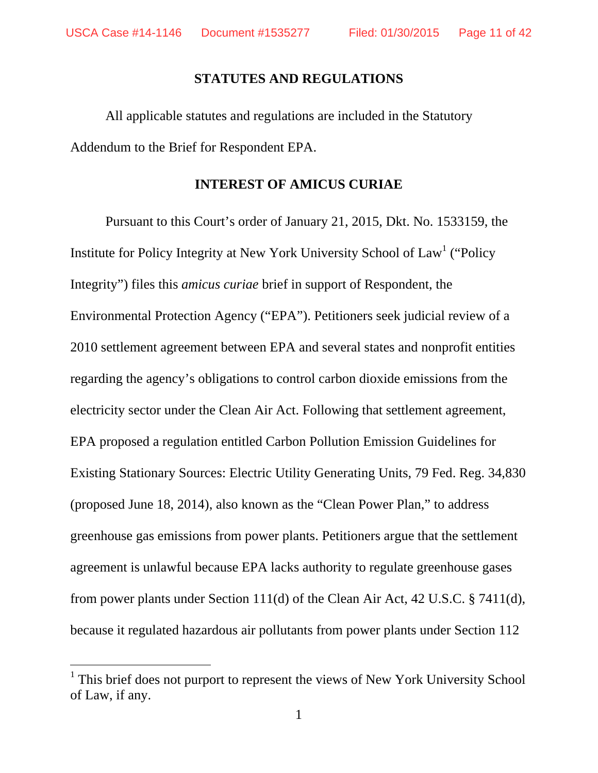$\overline{a}$ 

#### **STATUTES AND REGULATIONS**

All applicable statutes and regulations are included in the Statutory Addendum to the Brief for Respondent EPA.

#### **INTEREST OF AMICUS CURIAE**

Pursuant to this Court's order of January 21, 2015, Dkt. No. 1533159, the Institute for Policy Integrity at New York University School of Law<sup>1</sup> ("Policy Integrity") files this *amicus curiae* brief in support of Respondent, the Environmental Protection Agency ("EPA"). Petitioners seek judicial review of a 2010 settlement agreement between EPA and several states and nonprofit entities regarding the agency's obligations to control carbon dioxide emissions from the electricity sector under the Clean Air Act. Following that settlement agreement, EPA proposed a regulation entitled Carbon Pollution Emission Guidelines for Existing Stationary Sources: Electric Utility Generating Units, 79 Fed. Reg. 34,830 (proposed June 18, 2014), also known as the "Clean Power Plan," to address greenhouse gas emissions from power plants. Petitioners argue that the settlement agreement is unlawful because EPA lacks authority to regulate greenhouse gases from power plants under Section 111(d) of the Clean Air Act, 42 U.S.C. § 7411(d), because it regulated hazardous air pollutants from power plants under Section 112

<sup>&</sup>lt;sup>1</sup> This brief does not purport to represent the views of New York University School of Law, if any.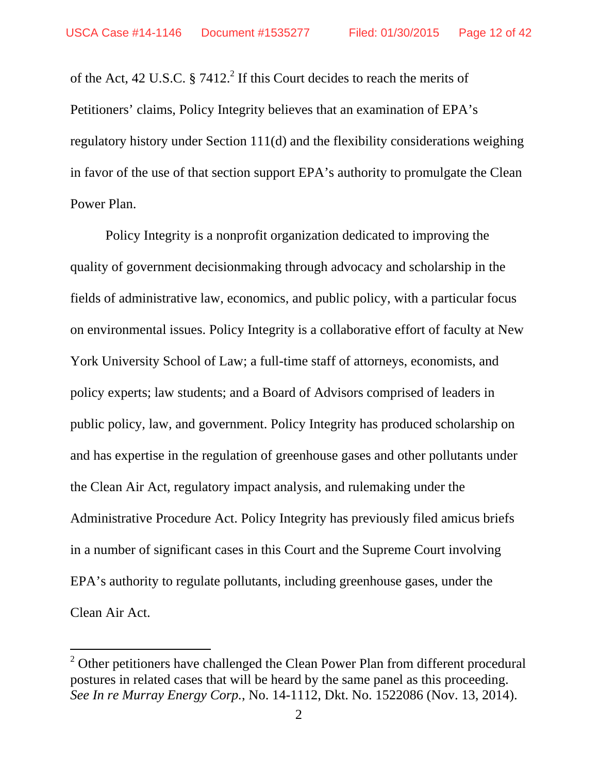of the Act, 42 U.S.C.  $\S$  7412.<sup>2</sup> If this Court decides to reach the merits of Petitioners' claims, Policy Integrity believes that an examination of EPA's regulatory history under Section 111(d) and the flexibility considerations weighing in favor of the use of that section support EPA's authority to promulgate the Clean Power Plan.

Policy Integrity is a nonprofit organization dedicated to improving the quality of government decisionmaking through advocacy and scholarship in the fields of administrative law, economics, and public policy, with a particular focus on environmental issues. Policy Integrity is a collaborative effort of faculty at New York University School of Law; a full-time staff of attorneys, economists, and policy experts; law students; and a Board of Advisors comprised of leaders in public policy, law, and government. Policy Integrity has produced scholarship on and has expertise in the regulation of greenhouse gases and other pollutants under the Clean Air Act, regulatory impact analysis, and rulemaking under the Administrative Procedure Act. Policy Integrity has previously filed amicus briefs in a number of significant cases in this Court and the Supreme Court involving EPA's authority to regulate pollutants, including greenhouse gases, under the Clean Air Act.

 $\overline{a}$ 

 $2^{2}$  Other petitioners have challenged the Clean Power Plan from different procedural postures in related cases that will be heard by the same panel as this proceeding. *See In re Murray Energy Corp.*, No. 14-1112, Dkt. No. 1522086 (Nov. 13, 2014).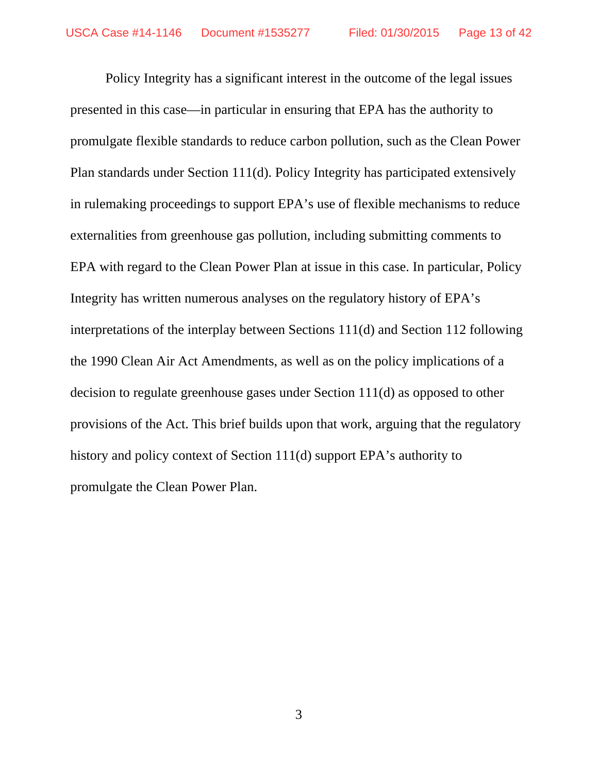Policy Integrity has a significant interest in the outcome of the legal issues presented in this case—in particular in ensuring that EPA has the authority to promulgate flexible standards to reduce carbon pollution, such as the Clean Power Plan standards under Section 111(d). Policy Integrity has participated extensively in rulemaking proceedings to support EPA's use of flexible mechanisms to reduce externalities from greenhouse gas pollution, including submitting comments to EPA with regard to the Clean Power Plan at issue in this case. In particular, Policy Integrity has written numerous analyses on the regulatory history of EPA's interpretations of the interplay between Sections 111(d) and Section 112 following the 1990 Clean Air Act Amendments, as well as on the policy implications of a decision to regulate greenhouse gases under Section 111(d) as opposed to other provisions of the Act. This brief builds upon that work, arguing that the regulatory history and policy context of Section 111(d) support EPA's authority to promulgate the Clean Power Plan.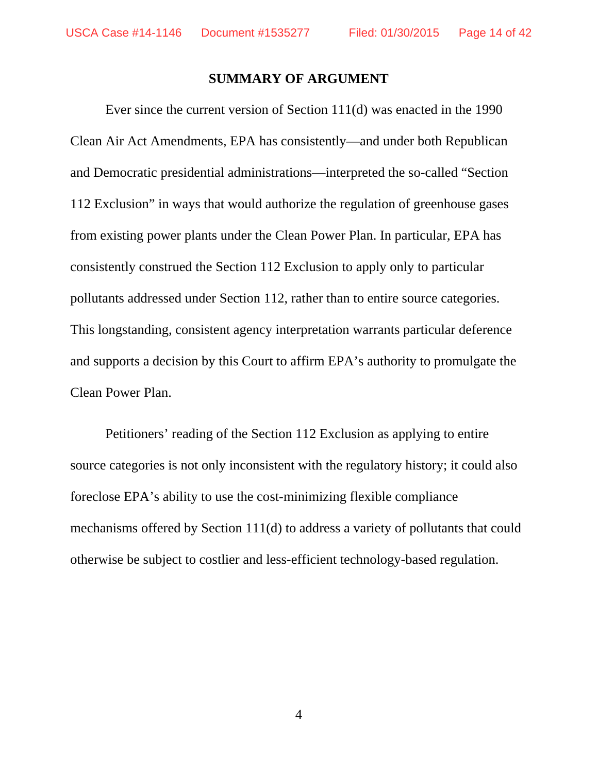#### **SUMMARY OF ARGUMENT**

Ever since the current version of Section 111(d) was enacted in the 1990 Clean Air Act Amendments, EPA has consistently—and under both Republican and Democratic presidential administrations—interpreted the so-called "Section 112 Exclusion" in ways that would authorize the regulation of greenhouse gases from existing power plants under the Clean Power Plan. In particular, EPA has consistently construed the Section 112 Exclusion to apply only to particular pollutants addressed under Section 112, rather than to entire source categories. This longstanding, consistent agency interpretation warrants particular deference and supports a decision by this Court to affirm EPA's authority to promulgate the Clean Power Plan.

Petitioners' reading of the Section 112 Exclusion as applying to entire source categories is not only inconsistent with the regulatory history; it could also foreclose EPA's ability to use the cost-minimizing flexible compliance mechanisms offered by Section 111(d) to address a variety of pollutants that could otherwise be subject to costlier and less-efficient technology-based regulation.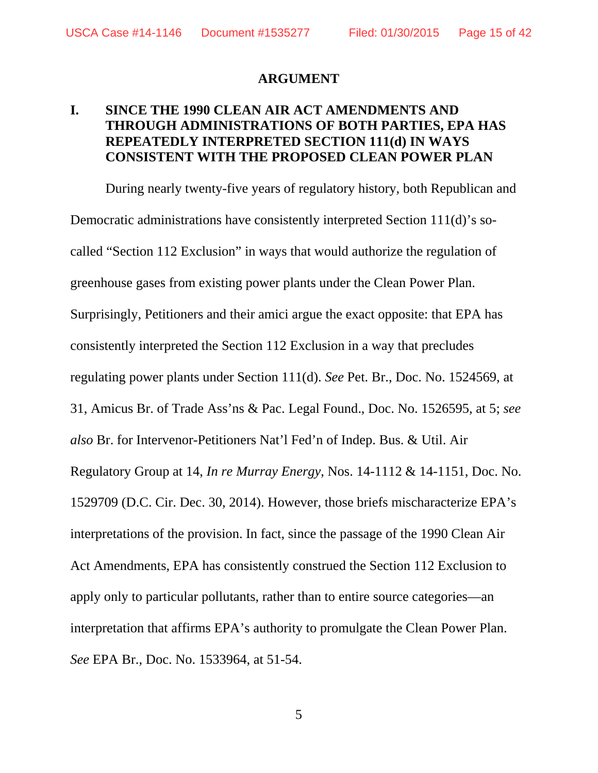#### **ARGUMENT**

## **I. SINCE THE 1990 CLEAN AIR ACT AMENDMENTS AND THROUGH ADMINISTRATIONS OF BOTH PARTIES, EPA HAS REPEATEDLY INTERPRETED SECTION 111(d) IN WAYS CONSISTENT WITH THE PROPOSED CLEAN POWER PLAN**

During nearly twenty-five years of regulatory history, both Republican and Democratic administrations have consistently interpreted Section 111(d)'s socalled "Section 112 Exclusion" in ways that would authorize the regulation of greenhouse gases from existing power plants under the Clean Power Plan. Surprisingly, Petitioners and their amici argue the exact opposite: that EPA has consistently interpreted the Section 112 Exclusion in a way that precludes regulating power plants under Section 111(d). *See* Pet. Br., Doc. No. 1524569, at 31, Amicus Br. of Trade Ass'ns & Pac. Legal Found., Doc. No. 1526595, at 5; *see also* Br. for Intervenor-Petitioners Nat'l Fed'n of Indep. Bus. & Util. Air Regulatory Group at 14, *In re Murray Energy*, Nos. 14-1112 & 14-1151, Doc. No. 1529709 (D.C. Cir. Dec. 30, 2014). However, those briefs mischaracterize EPA's interpretations of the provision. In fact, since the passage of the 1990 Clean Air Act Amendments, EPA has consistently construed the Section 112 Exclusion to apply only to particular pollutants, rather than to entire source categories—an interpretation that affirms EPA's authority to promulgate the Clean Power Plan. *See* EPA Br., Doc. No. 1533964, at 51-54.

5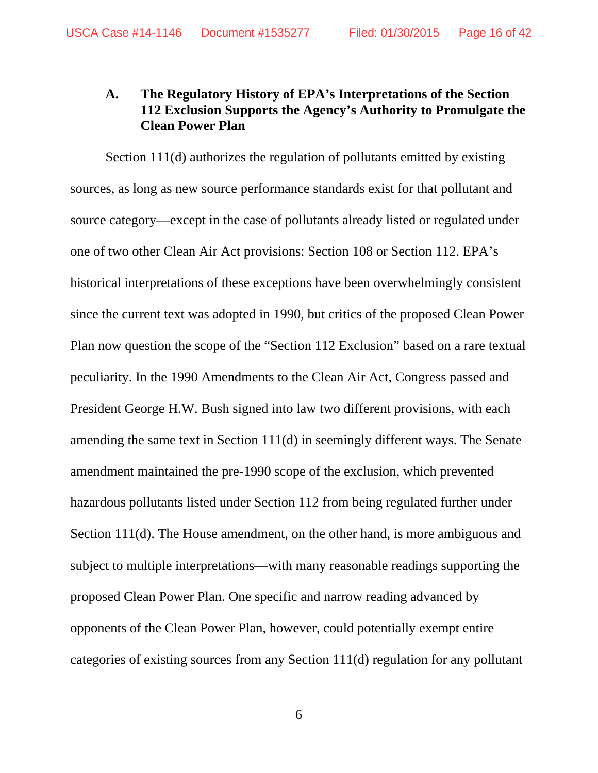## **A. The Regulatory History of EPA's Interpretations of the Section 112 Exclusion Supports the Agency's Authority to Promulgate the Clean Power Plan**

Section 111(d) authorizes the regulation of pollutants emitted by existing sources, as long as new source performance standards exist for that pollutant and source category—except in the case of pollutants already listed or regulated under one of two other Clean Air Act provisions: Section 108 or Section 112. EPA's historical interpretations of these exceptions have been overwhelmingly consistent since the current text was adopted in 1990, but critics of the proposed Clean Power Plan now question the scope of the "Section 112 Exclusion" based on a rare textual peculiarity. In the 1990 Amendments to the Clean Air Act, Congress passed and President George H.W. Bush signed into law two different provisions, with each amending the same text in Section 111(d) in seemingly different ways. The Senate amendment maintained the pre-1990 scope of the exclusion, which prevented hazardous pollutants listed under Section 112 from being regulated further under Section 111(d). The House amendment, on the other hand, is more ambiguous and subject to multiple interpretations—with many reasonable readings supporting the proposed Clean Power Plan. One specific and narrow reading advanced by opponents of the Clean Power Plan, however, could potentially exempt entire categories of existing sources from any Section 111(d) regulation for any pollutant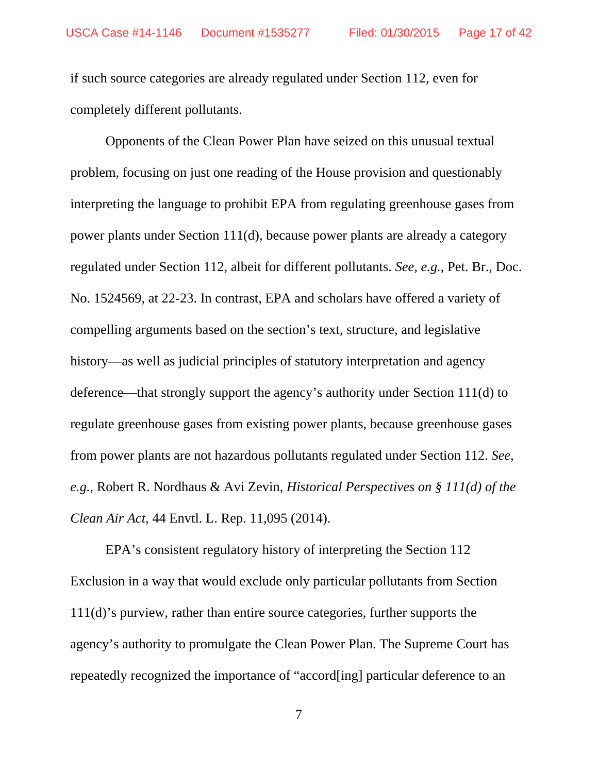if such source categories are already regulated under Section 112, even for completely different pollutants.

Opponents of the Clean Power Plan have seized on this unusual textual problem, focusing on just one reading of the House provision and questionably interpreting the language to prohibit EPA from regulating greenhouse gases from power plants under Section 111(d), because power plants are already a category regulated under Section 112, albeit for different pollutants. *See, e.g.*, Pet. Br., Doc. No. 1524569, at 22-23. In contrast, EPA and scholars have offered a variety of compelling arguments based on the section's text, structure, and legislative history—as well as judicial principles of statutory interpretation and agency deference—that strongly support the agency's authority under Section 111(d) to regulate greenhouse gases from existing power plants, because greenhouse gases from power plants are not hazardous pollutants regulated under Section 112. *See*, *e.g.*, Robert R. Nordhaus & Avi Zevin, *Historical Perspectives on § 111(d) of the Clean Air Act*, 44 Envtl. L. Rep. 11,095 (2014).

EPA's consistent regulatory history of interpreting the Section 112 Exclusion in a way that would exclude only particular pollutants from Section 111(d)'s purview, rather than entire source categories, further supports the agency's authority to promulgate the Clean Power Plan. The Supreme Court has repeatedly recognized the importance of "accord[ing] particular deference to an

7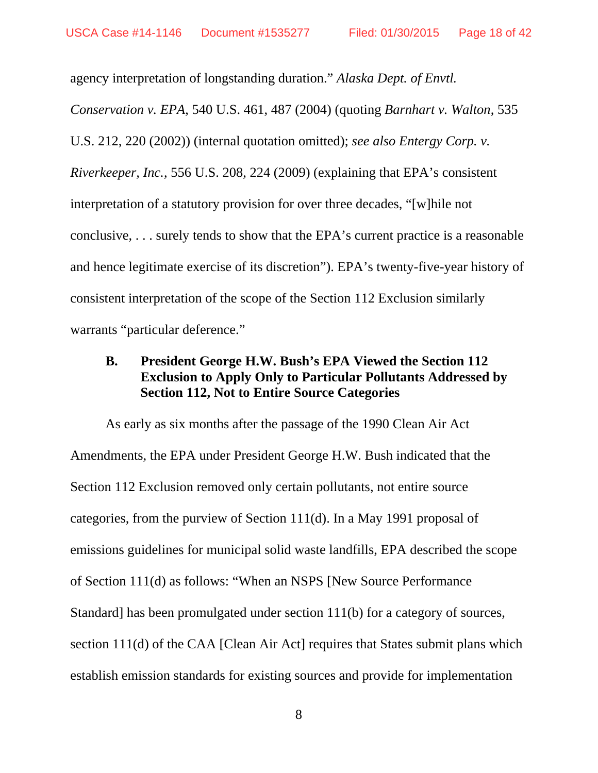agency interpretation of longstanding duration." *Alaska Dept. of Envtl. Conservation v. EPA*, 540 U.S. 461, 487 (2004) (quoting *Barnhart v. Walton*, 535 U.S. 212, 220 (2002)) (internal quotation omitted); *see also Entergy Corp. v. Riverkeeper, Inc.*, 556 U.S. 208, 224 (2009) (explaining that EPA's consistent interpretation of a statutory provision for over three decades, "[w]hile not conclusive, . . . surely tends to show that the EPA's current practice is a reasonable and hence legitimate exercise of its discretion"). EPA's twenty-five-year history of consistent interpretation of the scope of the Section 112 Exclusion similarly warrants "particular deference."

## **B. President George H.W. Bush's EPA Viewed the Section 112 Exclusion to Apply Only to Particular Pollutants Addressed by Section 112, Not to Entire Source Categories**

As early as six months after the passage of the 1990 Clean Air Act Amendments, the EPA under President George H.W. Bush indicated that the Section 112 Exclusion removed only certain pollutants, not entire source categories, from the purview of Section 111(d). In a May 1991 proposal of emissions guidelines for municipal solid waste landfills, EPA described the scope of Section 111(d) as follows: "When an NSPS [New Source Performance Standard] has been promulgated under section 111(b) for a category of sources, section 111(d) of the CAA [Clean Air Act] requires that States submit plans which establish emission standards for existing sources and provide for implementation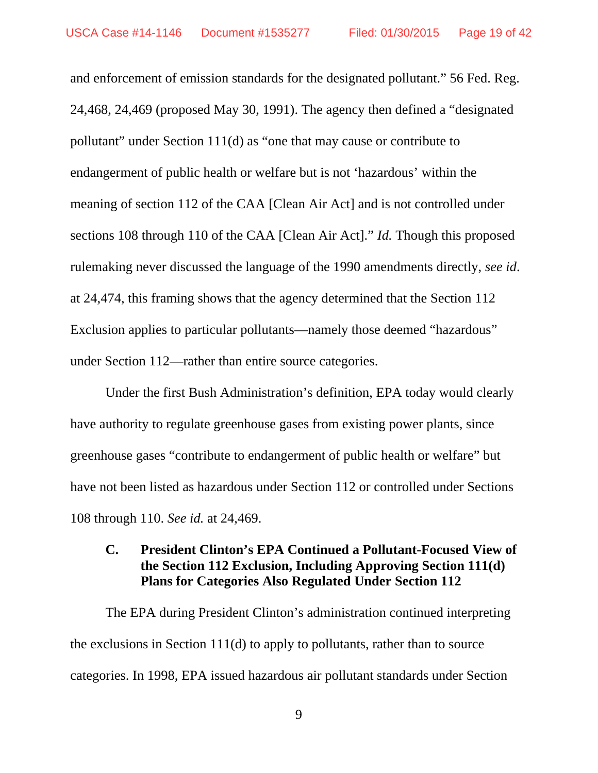and enforcement of emission standards for the designated pollutant." 56 Fed. Reg. 24,468, 24,469 (proposed May 30, 1991). The agency then defined a "designated pollutant" under Section 111(d) as "one that may cause or contribute to endangerment of public health or welfare but is not 'hazardous' within the meaning of section 112 of the CAA [Clean Air Act] and is not controlled under sections 108 through 110 of the CAA [Clean Air Act]." *Id.* Though this proposed rulemaking never discussed the language of the 1990 amendments directly, *see id*. at 24,474, this framing shows that the agency determined that the Section 112 Exclusion applies to particular pollutants—namely those deemed "hazardous" under Section 112—rather than entire source categories.

Under the first Bush Administration's definition, EPA today would clearly have authority to regulate greenhouse gases from existing power plants, since greenhouse gases "contribute to endangerment of public health or welfare" but have not been listed as hazardous under Section 112 or controlled under Sections 108 through 110. *See id.* at 24,469.

## **C. President Clinton's EPA Continued a Pollutant-Focused View of the Section 112 Exclusion, Including Approving Section 111(d) Plans for Categories Also Regulated Under Section 112**

The EPA during President Clinton's administration continued interpreting the exclusions in Section 111(d) to apply to pollutants, rather than to source categories. In 1998, EPA issued hazardous air pollutant standards under Section

9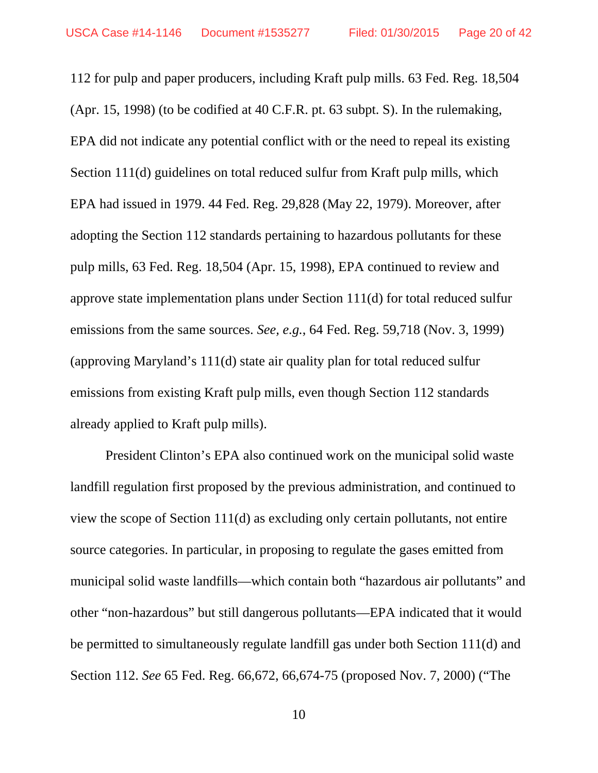112 for pulp and paper producers, including Kraft pulp mills. 63 Fed. Reg. 18,504 (Apr. 15, 1998) (to be codified at 40 C.F.R. pt. 63 subpt. S). In the rulemaking, EPA did not indicate any potential conflict with or the need to repeal its existing Section 111(d) guidelines on total reduced sulfur from Kraft pulp mills, which EPA had issued in 1979. 44 Fed. Reg. 29,828 (May 22, 1979). Moreover, after adopting the Section 112 standards pertaining to hazardous pollutants for these pulp mills, 63 Fed. Reg. 18,504 (Apr. 15, 1998), EPA continued to review and approve state implementation plans under Section 111(d) for total reduced sulfur emissions from the same sources. *See, e.g.*, 64 Fed. Reg. 59,718 (Nov. 3, 1999) (approving Maryland's 111(d) state air quality plan for total reduced sulfur emissions from existing Kraft pulp mills, even though Section 112 standards already applied to Kraft pulp mills).

President Clinton's EPA also continued work on the municipal solid waste landfill regulation first proposed by the previous administration, and continued to view the scope of Section 111(d) as excluding only certain pollutants, not entire source categories. In particular, in proposing to regulate the gases emitted from municipal solid waste landfills—which contain both "hazardous air pollutants" and other "non-hazardous" but still dangerous pollutants—EPA indicated that it would be permitted to simultaneously regulate landfill gas under both Section 111(d) and Section 112. *See* 65 Fed. Reg. 66,672, 66,674-75 (proposed Nov. 7, 2000) ("The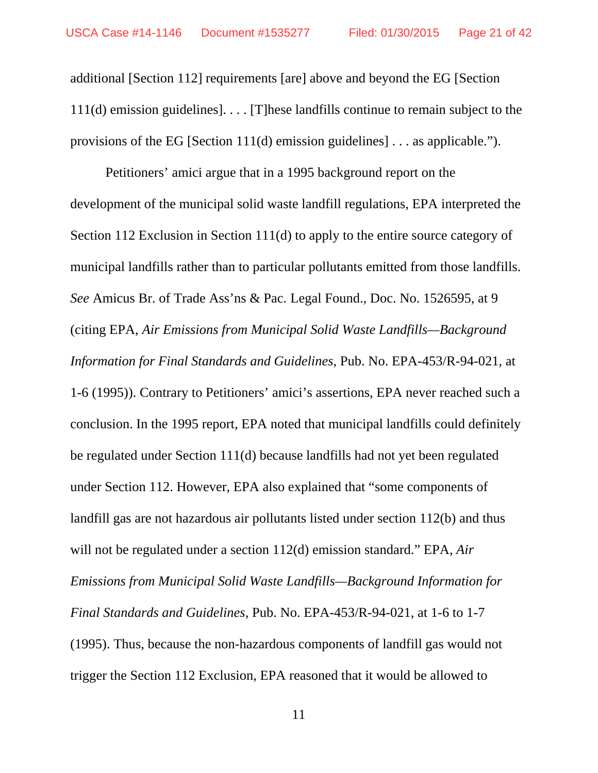additional [Section 112] requirements [are] above and beyond the EG [Section 111(d) emission guidelines]. . . . [T]hese landfills continue to remain subject to the provisions of the EG [Section 111(d) emission guidelines] . . . as applicable.").

Petitioners' amici argue that in a 1995 background report on the development of the municipal solid waste landfill regulations, EPA interpreted the Section 112 Exclusion in Section 111(d) to apply to the entire source category of municipal landfills rather than to particular pollutants emitted from those landfills. *See* Amicus Br. of Trade Ass'ns & Pac. Legal Found., Doc. No. 1526595, at 9 (citing EPA, *Air Emissions from Municipal Solid Waste Landfills—Background Information for Final Standards and Guidelines*, Pub. No. EPA-453/R-94-021, at 1-6 (1995)). Contrary to Petitioners' amici's assertions, EPA never reached such a conclusion. In the 1995 report, EPA noted that municipal landfills could definitely be regulated under Section 111(d) because landfills had not yet been regulated under Section 112. However, EPA also explained that "some components of landfill gas are not hazardous air pollutants listed under section 112(b) and thus will not be regulated under a section 112(d) emission standard." EPA, *Air Emissions from Municipal Solid Waste Landfills—Background Information for Final Standards and Guidelines*, Pub. No. EPA-453/R-94-021, at 1-6 to 1-7 (1995). Thus, because the non-hazardous components of landfill gas would not trigger the Section 112 Exclusion, EPA reasoned that it would be allowed to

11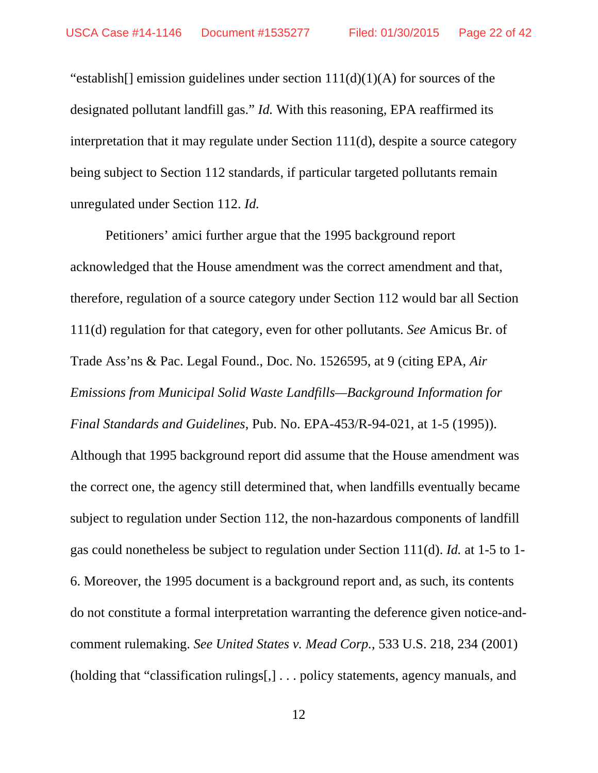"establish[] emission guidelines under section  $111(d)(1)(A)$  for sources of the designated pollutant landfill gas." *Id.* With this reasoning, EPA reaffirmed its interpretation that it may regulate under Section 111(d), despite a source category being subject to Section 112 standards, if particular targeted pollutants remain unregulated under Section 112. *Id.*

Petitioners' amici further argue that the 1995 background report acknowledged that the House amendment was the correct amendment and that, therefore, regulation of a source category under Section 112 would bar all Section 111(d) regulation for that category, even for other pollutants. *See* Amicus Br. of Trade Ass'ns & Pac. Legal Found., Doc. No. 1526595, at 9 (citing EPA, *Air Emissions from Municipal Solid Waste Landfills—Background Information for Final Standards and Guidelines*, Pub. No. EPA-453/R-94-021, at 1-5 (1995)). Although that 1995 background report did assume that the House amendment was the correct one, the agency still determined that, when landfills eventually became subject to regulation under Section 112, the non-hazardous components of landfill gas could nonetheless be subject to regulation under Section 111(d). *Id.* at 1-5 to 1- 6. Moreover, the 1995 document is a background report and, as such, its contents do not constitute a formal interpretation warranting the deference given notice-andcomment rulemaking. *See United States v. Mead Corp.*, 533 U.S. 218, 234 (2001) (holding that "classification rulings[,] . . . policy statements, agency manuals, and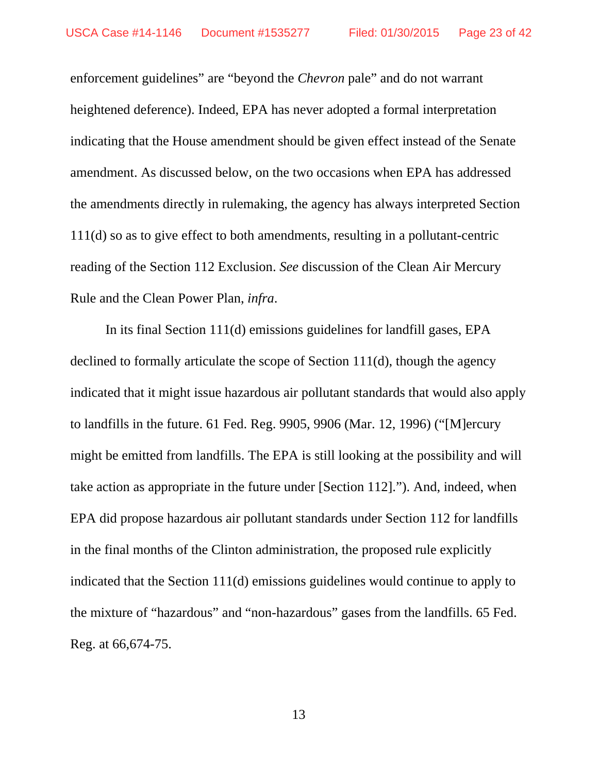enforcement guidelines" are "beyond the *Chevron* pale" and do not warrant heightened deference). Indeed, EPA has never adopted a formal interpretation indicating that the House amendment should be given effect instead of the Senate amendment. As discussed below, on the two occasions when EPA has addressed the amendments directly in rulemaking, the agency has always interpreted Section 111(d) so as to give effect to both amendments, resulting in a pollutant-centric reading of the Section 112 Exclusion. *See* discussion of the Clean Air Mercury Rule and the Clean Power Plan, *infra*.

In its final Section 111(d) emissions guidelines for landfill gases, EPA declined to formally articulate the scope of Section 111(d), though the agency indicated that it might issue hazardous air pollutant standards that would also apply to landfills in the future. 61 Fed. Reg. 9905, 9906 (Mar. 12, 1996) ("[M]ercury might be emitted from landfills. The EPA is still looking at the possibility and will take action as appropriate in the future under [Section 112]."). And, indeed, when EPA did propose hazardous air pollutant standards under Section 112 for landfills in the final months of the Clinton administration, the proposed rule explicitly indicated that the Section 111(d) emissions guidelines would continue to apply to the mixture of "hazardous" and "non-hazardous" gases from the landfills. 65 Fed. Reg. at 66,674-75.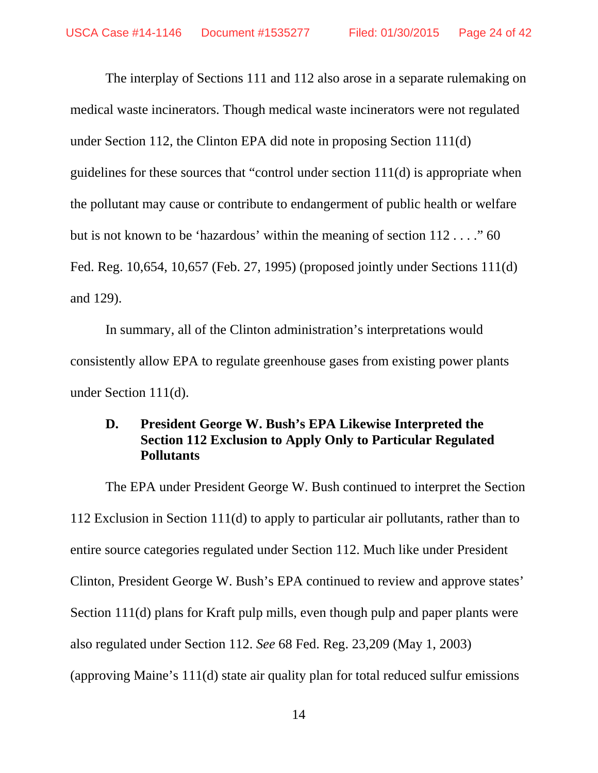The interplay of Sections 111 and 112 also arose in a separate rulemaking on medical waste incinerators. Though medical waste incinerators were not regulated under Section 112, the Clinton EPA did note in proposing Section 111(d) guidelines for these sources that "control under section 111(d) is appropriate when the pollutant may cause or contribute to endangerment of public health or welfare but is not known to be 'hazardous' within the meaning of section 112...." 60 Fed. Reg. 10,654, 10,657 (Feb. 27, 1995) (proposed jointly under Sections 111(d) and 129).

In summary, all of the Clinton administration's interpretations would consistently allow EPA to regulate greenhouse gases from existing power plants under Section 111(d).

## **D. President George W. Bush's EPA Likewise Interpreted the Section 112 Exclusion to Apply Only to Particular Regulated Pollutants**

The EPA under President George W. Bush continued to interpret the Section 112 Exclusion in Section 111(d) to apply to particular air pollutants, rather than to entire source categories regulated under Section 112. Much like under President Clinton, President George W. Bush's EPA continued to review and approve states' Section 111(d) plans for Kraft pulp mills, even though pulp and paper plants were also regulated under Section 112. *See* 68 Fed. Reg. 23,209 (May 1, 2003) (approving Maine's 111(d) state air quality plan for total reduced sulfur emissions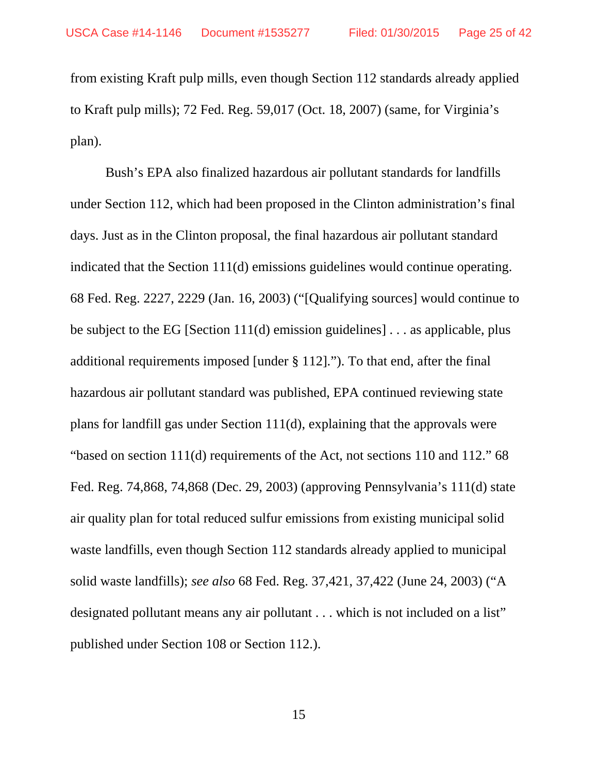from existing Kraft pulp mills, even though Section 112 standards already applied to Kraft pulp mills); 72 Fed. Reg. 59,017 (Oct. 18, 2007) (same, for Virginia's plan).

Bush's EPA also finalized hazardous air pollutant standards for landfills under Section 112, which had been proposed in the Clinton administration's final days. Just as in the Clinton proposal, the final hazardous air pollutant standard indicated that the Section 111(d) emissions guidelines would continue operating. 68 Fed. Reg. 2227, 2229 (Jan. 16, 2003) ("[Qualifying sources] would continue to be subject to the EG [Section 111(d) emission guidelines] . . . as applicable, plus additional requirements imposed [under § 112]."). To that end, after the final hazardous air pollutant standard was published, EPA continued reviewing state plans for landfill gas under Section 111(d), explaining that the approvals were "based on section 111(d) requirements of the Act, not sections 110 and 112." 68 Fed. Reg. 74,868, 74,868 (Dec. 29, 2003) (approving Pennsylvania's 111(d) state air quality plan for total reduced sulfur emissions from existing municipal solid waste landfills, even though Section 112 standards already applied to municipal solid waste landfills); *see also* 68 Fed. Reg. 37,421, 37,422 (June 24, 2003) ("A designated pollutant means any air pollutant . . . which is not included on a list" published under Section 108 or Section 112.).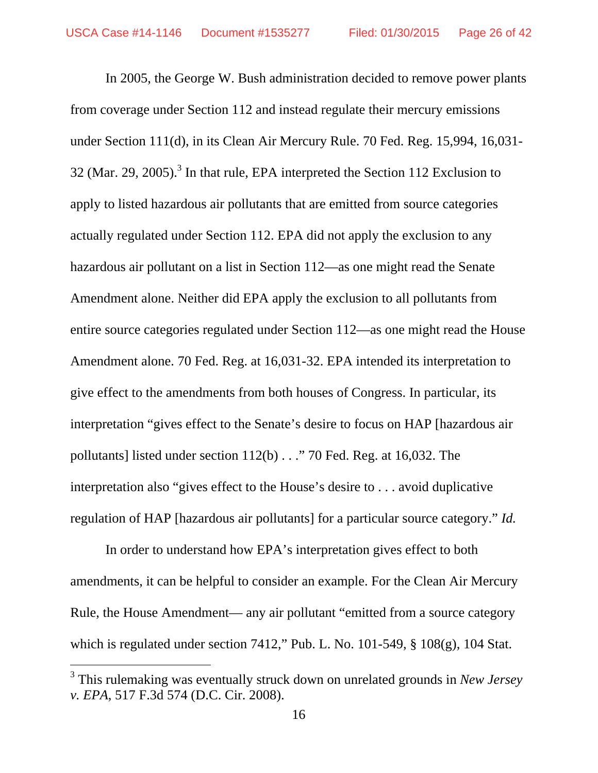In 2005, the George W. Bush administration decided to remove power plants from coverage under Section 112 and instead regulate their mercury emissions under Section 111(d), in its Clean Air Mercury Rule. 70 Fed. Reg. 15,994, 16,031- 32 (Mar. 29, 2005).<sup>3</sup> In that rule, EPA interpreted the Section 112 Exclusion to apply to listed hazardous air pollutants that are emitted from source categories actually regulated under Section 112. EPA did not apply the exclusion to any hazardous air pollutant on a list in Section 112—as one might read the Senate Amendment alone. Neither did EPA apply the exclusion to all pollutants from entire source categories regulated under Section 112—as one might read the House Amendment alone. 70 Fed. Reg. at 16,031-32. EPA intended its interpretation to give effect to the amendments from both houses of Congress. In particular, its interpretation "gives effect to the Senate's desire to focus on HAP [hazardous air pollutants] listed under section 112(b) . . ." 70 Fed. Reg. at 16,032. The interpretation also "gives effect to the House's desire to . . . avoid duplicative regulation of HAP [hazardous air pollutants] for a particular source category." *Id.* 

In order to understand how EPA's interpretation gives effect to both amendments, it can be helpful to consider an example. For the Clean Air Mercury Rule, the House Amendment— any air pollutant "emitted from a source category which is regulated under section 7412," Pub. L. No. 101-549, § 108(g), 104 Stat.

-

<sup>3</sup> This rulemaking was eventually struck down on unrelated grounds in *New Jersey v. EPA*, 517 F.3d 574 (D.C. Cir. 2008).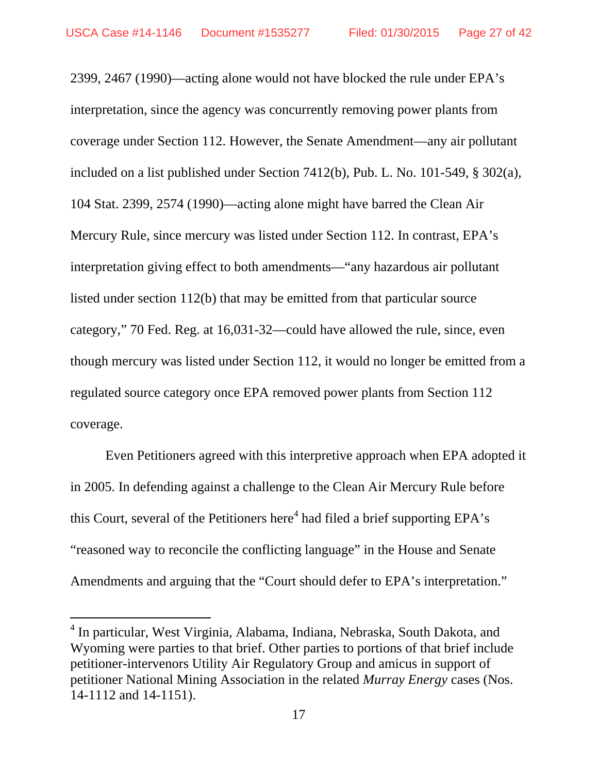2399, 2467 (1990)—acting alone would not have blocked the rule under EPA's interpretation, since the agency was concurrently removing power plants from coverage under Section 112. However, the Senate Amendment—any air pollutant included on a list published under Section 7412(b), Pub. L. No. 101-549, § 302(a), 104 Stat. 2399, 2574 (1990)—acting alone might have barred the Clean Air Mercury Rule, since mercury was listed under Section 112. In contrast, EPA's interpretation giving effect to both amendments—"any hazardous air pollutant listed under section 112(b) that may be emitted from that particular source category," 70 Fed. Reg. at 16,031-32—could have allowed the rule, since, even though mercury was listed under Section 112, it would no longer be emitted from a regulated source category once EPA removed power plants from Section 112 coverage.

Even Petitioners agreed with this interpretive approach when EPA adopted it in 2005. In defending against a challenge to the Clean Air Mercury Rule before this Court, several of the Petitioners here<sup>4</sup> had filed a brief supporting EPA's "reasoned way to reconcile the conflicting language" in the House and Senate Amendments and arguing that the "Court should defer to EPA's interpretation."

 $\overline{a}$ 

<sup>&</sup>lt;sup>4</sup> In particular, West Virginia, Alabama, Indiana, Nebraska, South Dakota, and Wyoming were parties to that brief. Other parties to portions of that brief include petitioner-intervenors Utility Air Regulatory Group and amicus in support of petitioner National Mining Association in the related *Murray Energy* cases (Nos. 14-1112 and 14-1151).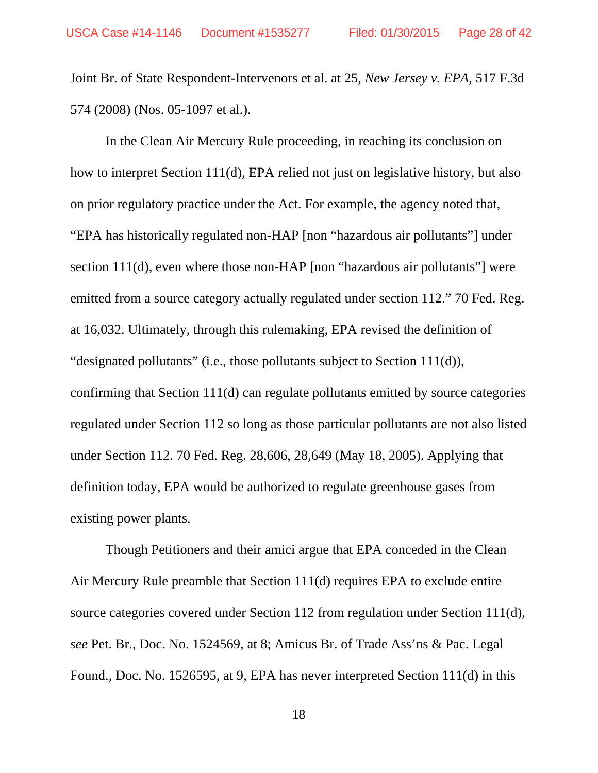Joint Br. of State Respondent-Intervenors et al. at 25, *New Jersey v. EPA*, 517 F.3d 574 (2008) (Nos. 05-1097 et al.).

In the Clean Air Mercury Rule proceeding, in reaching its conclusion on how to interpret Section 111(d), EPA relied not just on legislative history, but also on prior regulatory practice under the Act. For example, the agency noted that, "EPA has historically regulated non-HAP [non "hazardous air pollutants"] under section 111(d), even where those non-HAP [non "hazardous air pollutants"] were emitted from a source category actually regulated under section 112." 70 Fed. Reg. at 16,032. Ultimately, through this rulemaking, EPA revised the definition of "designated pollutants" (i.e., those pollutants subject to Section 111(d)), confirming that Section 111(d) can regulate pollutants emitted by source categories regulated under Section 112 so long as those particular pollutants are not also listed under Section 112. 70 Fed. Reg. 28,606, 28,649 (May 18, 2005). Applying that definition today, EPA would be authorized to regulate greenhouse gases from existing power plants.

Though Petitioners and their amici argue that EPA conceded in the Clean Air Mercury Rule preamble that Section 111(d) requires EPA to exclude entire source categories covered under Section 112 from regulation under Section 111(d), *see* Pet. Br., Doc. No. 1524569, at 8; Amicus Br. of Trade Ass'ns & Pac. Legal Found., Doc. No. 1526595, at 9, EPA has never interpreted Section 111(d) in this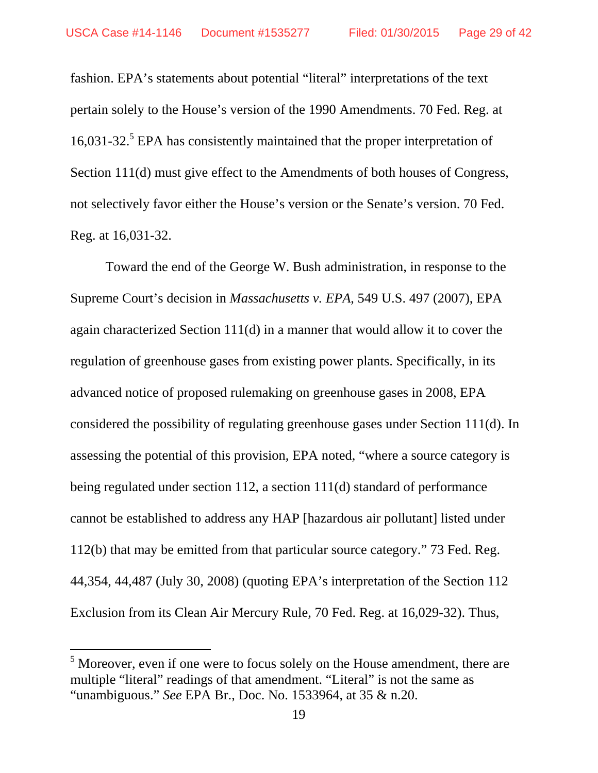fashion. EPA's statements about potential "literal" interpretations of the text pertain solely to the House's version of the 1990 Amendments. 70 Fed. Reg. at 16,031-32.<sup>5</sup> EPA has consistently maintained that the proper interpretation of Section 111(d) must give effect to the Amendments of both houses of Congress, not selectively favor either the House's version or the Senate's version. 70 Fed. Reg. at 16,031-32.

Toward the end of the George W. Bush administration, in response to the Supreme Court's decision in *Massachusetts v. EPA*, 549 U.S. 497 (2007), EPA again characterized Section 111(d) in a manner that would allow it to cover the regulation of greenhouse gases from existing power plants. Specifically, in its advanced notice of proposed rulemaking on greenhouse gases in 2008, EPA considered the possibility of regulating greenhouse gases under Section 111(d). In assessing the potential of this provision, EPA noted, "where a source category is being regulated under section 112, a section 111(d) standard of performance cannot be established to address any HAP [hazardous air pollutant] listed under 112(b) that may be emitted from that particular source category." 73 Fed. Reg. 44,354, 44,487 (July 30, 2008) (quoting EPA's interpretation of the Section 112 Exclusion from its Clean Air Mercury Rule, 70 Fed. Reg. at 16,029-32). Thus,

-

 $<sup>5</sup>$  Moreover, even if one were to focus solely on the House amendment, there are</sup> multiple "literal" readings of that amendment. "Literal" is not the same as "unambiguous." *See* EPA Br., Doc. No. 1533964, at 35 & n.20.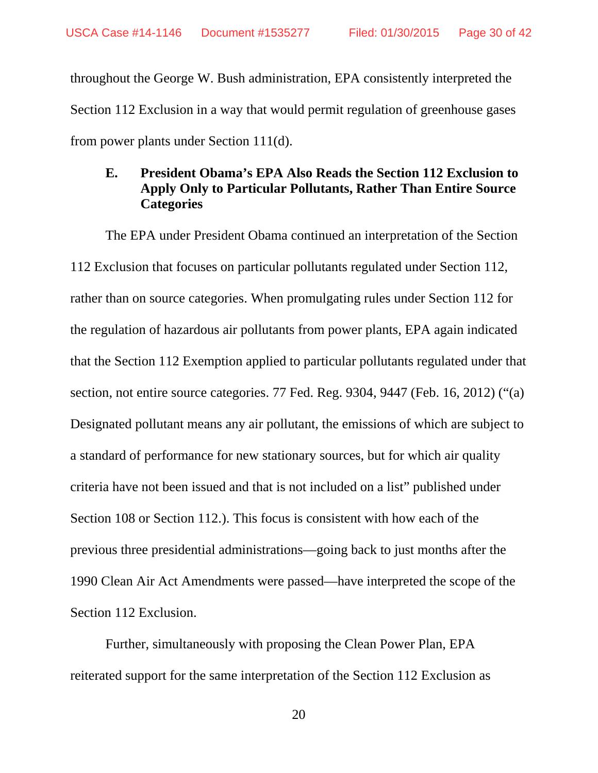throughout the George W. Bush administration, EPA consistently interpreted the Section 112 Exclusion in a way that would permit regulation of greenhouse gases from power plants under Section 111(d).

## **E. President Obama's EPA Also Reads the Section 112 Exclusion to Apply Only to Particular Pollutants, Rather Than Entire Source Categories**

The EPA under President Obama continued an interpretation of the Section 112 Exclusion that focuses on particular pollutants regulated under Section 112, rather than on source categories. When promulgating rules under Section 112 for the regulation of hazardous air pollutants from power plants, EPA again indicated that the Section 112 Exemption applied to particular pollutants regulated under that section, not entire source categories. 77 Fed. Reg. 9304, 9447 (Feb. 16, 2012) ("(a) Designated pollutant means any air pollutant, the emissions of which are subject to a standard of performance for new stationary sources, but for which air quality criteria have not been issued and that is not included on a list" published under Section 108 or Section 112.). This focus is consistent with how each of the previous three presidential administrations—going back to just months after the 1990 Clean Air Act Amendments were passed—have interpreted the scope of the Section 112 Exclusion.

Further, simultaneously with proposing the Clean Power Plan, EPA reiterated support for the same interpretation of the Section 112 Exclusion as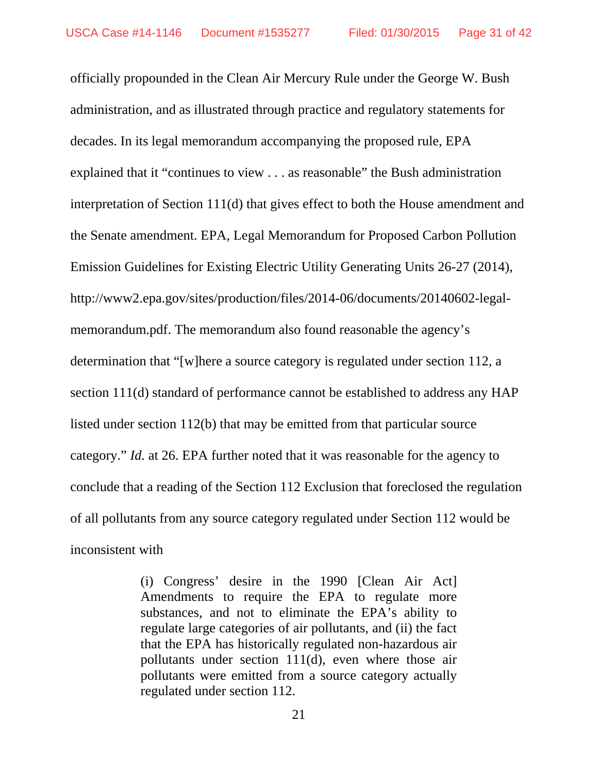officially propounded in the Clean Air Mercury Rule under the George W. Bush administration, and as illustrated through practice and regulatory statements for decades. In its legal memorandum accompanying the proposed rule, EPA explained that it "continues to view . . . as reasonable" the Bush administration interpretation of Section 111(d) that gives effect to both the House amendment and the Senate amendment. EPA, Legal Memorandum for Proposed Carbon Pollution Emission Guidelines for Existing Electric Utility Generating Units 26-27 (2014), http://www2.epa.gov/sites/production/files/2014-06/documents/20140602-legalmemorandum.pdf. The memorandum also found reasonable the agency's determination that "[w]here a source category is regulated under section 112, a section 111(d) standard of performance cannot be established to address any HAP listed under section 112(b) that may be emitted from that particular source category." *Id.* at 26. EPA further noted that it was reasonable for the agency to conclude that a reading of the Section 112 Exclusion that foreclosed the regulation of all pollutants from any source category regulated under Section 112 would be inconsistent with

> (i) Congress' desire in the 1990 [Clean Air Act] Amendments to require the EPA to regulate more substances, and not to eliminate the EPA's ability to regulate large categories of air pollutants, and (ii) the fact that the EPA has historically regulated non-hazardous air pollutants under section 111(d), even where those air pollutants were emitted from a source category actually regulated under section 112.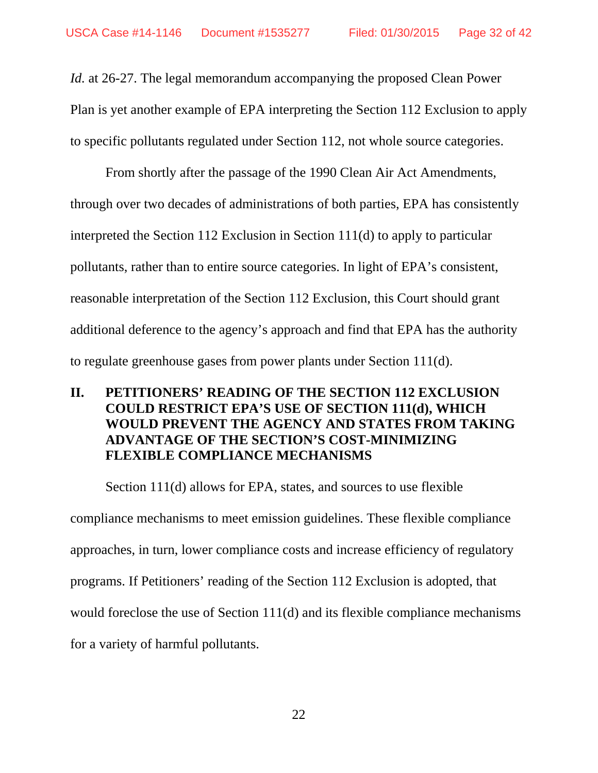*Id.* at 26-27. The legal memorandum accompanying the proposed Clean Power Plan is yet another example of EPA interpreting the Section 112 Exclusion to apply to specific pollutants regulated under Section 112, not whole source categories.

From shortly after the passage of the 1990 Clean Air Act Amendments, through over two decades of administrations of both parties, EPA has consistently interpreted the Section 112 Exclusion in Section 111(d) to apply to particular pollutants, rather than to entire source categories. In light of EPA's consistent, reasonable interpretation of the Section 112 Exclusion, this Court should grant additional deference to the agency's approach and find that EPA has the authority to regulate greenhouse gases from power plants under Section 111(d).

## **II. PETITIONERS' READING OF THE SECTION 112 EXCLUSION COULD RESTRICT EPA'S USE OF SECTION 111(d), WHICH WOULD PREVENT THE AGENCY AND STATES FROM TAKING ADVANTAGE OF THE SECTION'S COST-MINIMIZING FLEXIBLE COMPLIANCE MECHANISMS**

Section 111(d) allows for EPA, states, and sources to use flexible compliance mechanisms to meet emission guidelines. These flexible compliance approaches, in turn, lower compliance costs and increase efficiency of regulatory programs. If Petitioners' reading of the Section 112 Exclusion is adopted, that would foreclose the use of Section 111(d) and its flexible compliance mechanisms for a variety of harmful pollutants.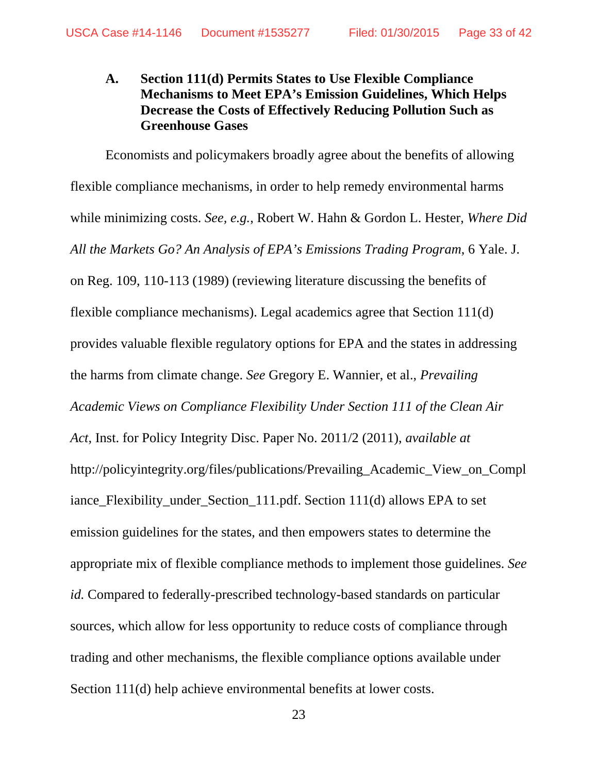## **A. Section 111(d) Permits States to Use Flexible Compliance Mechanisms to Meet EPA's Emission Guidelines, Which Helps Decrease the Costs of Effectively Reducing Pollution Such as Greenhouse Gases**

Economists and policymakers broadly agree about the benefits of allowing flexible compliance mechanisms, in order to help remedy environmental harms while minimizing costs. *See, e.g.*, Robert W. Hahn & Gordon L. Hester, *Where Did All the Markets Go? An Analysis of EPA's Emissions Trading Program*, 6 Yale. J. on Reg. 109, 110-113 (1989) (reviewing literature discussing the benefits of flexible compliance mechanisms). Legal academics agree that Section 111(d) provides valuable flexible regulatory options for EPA and the states in addressing the harms from climate change. *See* Gregory E. Wannier, et al., *Prevailing Academic Views on Compliance Flexibility Under Section 111 of the Clean Air Act*, Inst. for Policy Integrity Disc. Paper No. 2011/2 (2011), *available at* http://policyintegrity.org/files/publications/Prevailing\_Academic\_View\_on\_Compl iance\_Flexibility\_under\_Section\_111.pdf. Section 111(d) allows EPA to set emission guidelines for the states, and then empowers states to determine the appropriate mix of flexible compliance methods to implement those guidelines. *See id.* Compared to federally-prescribed technology-based standards on particular sources, which allow for less opportunity to reduce costs of compliance through trading and other mechanisms, the flexible compliance options available under Section 111(d) help achieve environmental benefits at lower costs.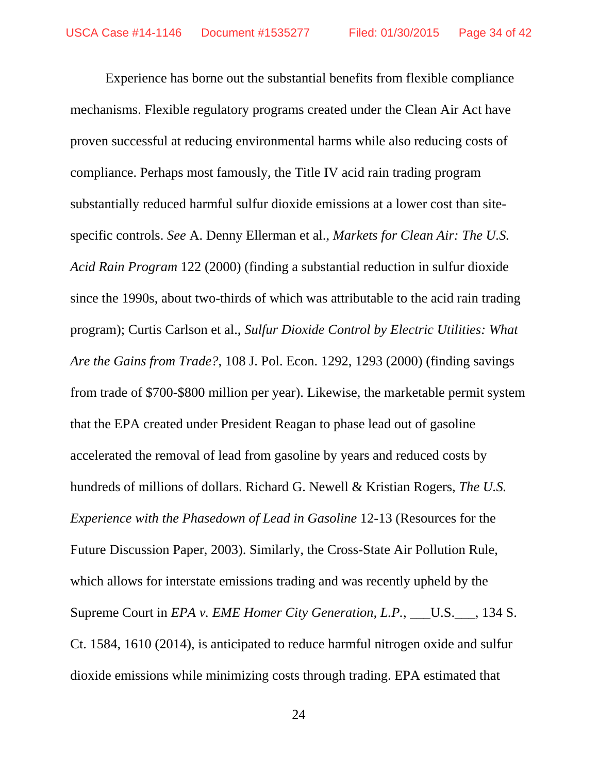Experience has borne out the substantial benefits from flexible compliance mechanisms. Flexible regulatory programs created under the Clean Air Act have proven successful at reducing environmental harms while also reducing costs of compliance. Perhaps most famously, the Title IV acid rain trading program substantially reduced harmful sulfur dioxide emissions at a lower cost than sitespecific controls. *See* A. Denny Ellerman et al., *Markets for Clean Air: The U.S. Acid Rain Program* 122 (2000) (finding a substantial reduction in sulfur dioxide since the 1990s, about two-thirds of which was attributable to the acid rain trading program); Curtis Carlson et al., *Sulfur Dioxide Control by Electric Utilities: What Are the Gains from Trade?*, 108 J. Pol. Econ. 1292, 1293 (2000) (finding savings from trade of \$700-\$800 million per year). Likewise, the marketable permit system that the EPA created under President Reagan to phase lead out of gasoline accelerated the removal of lead from gasoline by years and reduced costs by hundreds of millions of dollars. Richard G. Newell & Kristian Rogers, *The U.S. Experience with the Phasedown of Lead in Gasoline* 12-13 (Resources for the Future Discussion Paper, 2003). Similarly, the Cross-State Air Pollution Rule, which allows for interstate emissions trading and was recently upheld by the Supreme Court in *EPA v. EME Homer City Generation, L.P.*, \_\_\_U.S.\_\_\_, 134 S. Ct. 1584, 1610 (2014), is anticipated to reduce harmful nitrogen oxide and sulfur dioxide emissions while minimizing costs through trading. EPA estimated that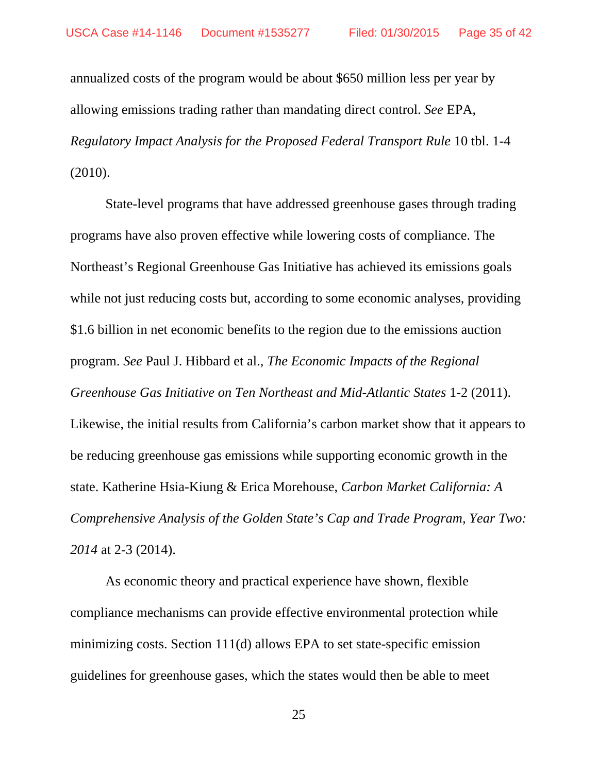annualized costs of the program would be about \$650 million less per year by allowing emissions trading rather than mandating direct control. *See* EPA, *Regulatory Impact Analysis for the Proposed Federal Transport Rule* 10 tbl. 1-4 (2010).

State-level programs that have addressed greenhouse gases through trading programs have also proven effective while lowering costs of compliance. The Northeast's Regional Greenhouse Gas Initiative has achieved its emissions goals while not just reducing costs but, according to some economic analyses, providing \$1.6 billion in net economic benefits to the region due to the emissions auction program. *See* Paul J. Hibbard et al., *The Economic Impacts of the Regional Greenhouse Gas Initiative on Ten Northeast and Mid-Atlantic States* 1-2 (2011). Likewise, the initial results from California's carbon market show that it appears to be reducing greenhouse gas emissions while supporting economic growth in the state. Katherine Hsia-Kiung & Erica Morehouse, *Carbon Market California: A Comprehensive Analysis of the Golden State's Cap and Trade Program, Year Two: 2014* at 2-3 (2014).

As economic theory and practical experience have shown, flexible compliance mechanisms can provide effective environmental protection while minimizing costs. Section 111(d) allows EPA to set state-specific emission guidelines for greenhouse gases, which the states would then be able to meet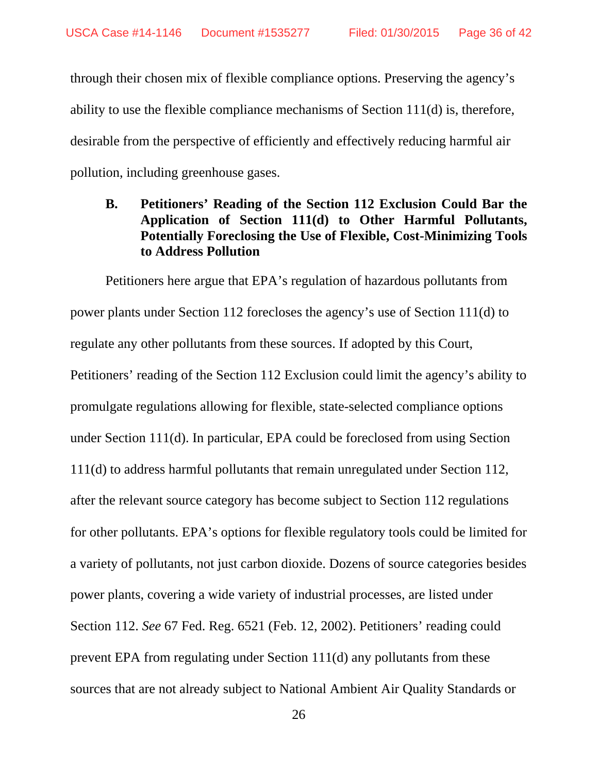through their chosen mix of flexible compliance options. Preserving the agency's ability to use the flexible compliance mechanisms of Section 111(d) is, therefore, desirable from the perspective of efficiently and effectively reducing harmful air pollution, including greenhouse gases.

## **B. Petitioners' Reading of the Section 112 Exclusion Could Bar the Application of Section 111(d) to Other Harmful Pollutants, Potentially Foreclosing the Use of Flexible, Cost-Minimizing Tools to Address Pollution**

Petitioners here argue that EPA's regulation of hazardous pollutants from power plants under Section 112 forecloses the agency's use of Section 111(d) to regulate any other pollutants from these sources. If adopted by this Court, Petitioners' reading of the Section 112 Exclusion could limit the agency's ability to promulgate regulations allowing for flexible, state-selected compliance options under Section 111(d). In particular, EPA could be foreclosed from using Section 111(d) to address harmful pollutants that remain unregulated under Section 112, after the relevant source category has become subject to Section 112 regulations for other pollutants. EPA's options for flexible regulatory tools could be limited for a variety of pollutants, not just carbon dioxide. Dozens of source categories besides power plants, covering a wide variety of industrial processes, are listed under Section 112. *See* 67 Fed. Reg. 6521 (Feb. 12, 2002). Petitioners' reading could prevent EPA from regulating under Section 111(d) any pollutants from these sources that are not already subject to National Ambient Air Quality Standards or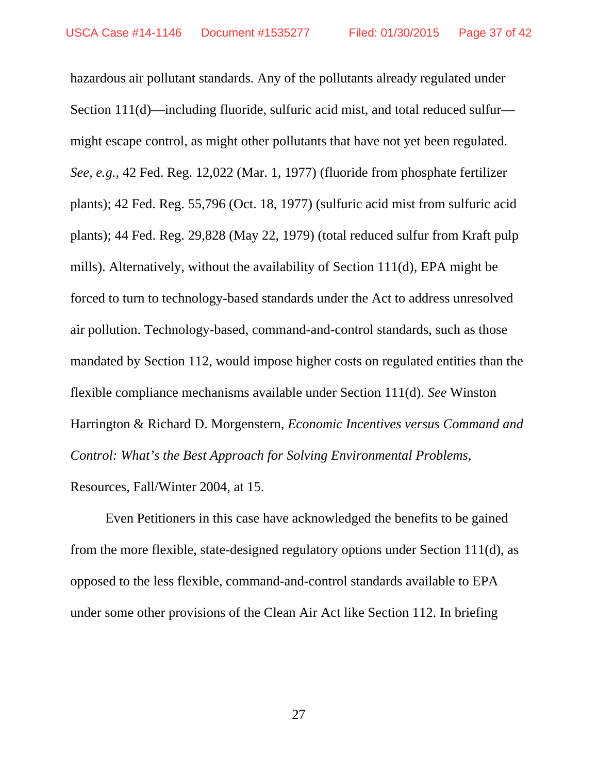hazardous air pollutant standards. Any of the pollutants already regulated under Section 111(d)—including fluoride, sulfuric acid mist, and total reduced sulfur might escape control, as might other pollutants that have not yet been regulated. *See, e.g.*, 42 Fed. Reg. 12,022 (Mar. 1, 1977) (fluoride from phosphate fertilizer plants); 42 Fed. Reg. 55,796 (Oct. 18, 1977) (sulfuric acid mist from sulfuric acid plants); 44 Fed. Reg. 29,828 (May 22, 1979) (total reduced sulfur from Kraft pulp mills). Alternatively, without the availability of Section 111(d), EPA might be forced to turn to technology-based standards under the Act to address unresolved air pollution. Technology-based, command-and-control standards, such as those mandated by Section 112, would impose higher costs on regulated entities than the flexible compliance mechanisms available under Section 111(d). *See* Winston Harrington & Richard D. Morgenstern, *Economic Incentives versus Command and Control: What's the Best Approach for Solving Environmental Problems*, Resources, Fall/Winter 2004, at 15.

Even Petitioners in this case have acknowledged the benefits to be gained from the more flexible, state-designed regulatory options under Section 111(d), as opposed to the less flexible, command-and-control standards available to EPA under some other provisions of the Clean Air Act like Section 112. In briefing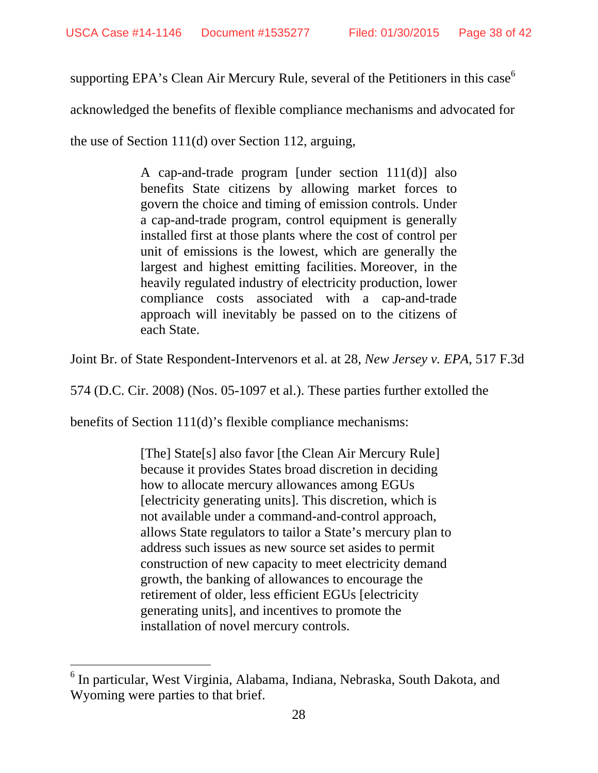supporting EPA's Clean Air Mercury Rule, several of the Petitioners in this case<sup>6</sup>

acknowledged the benefits of flexible compliance mechanisms and advocated for

the use of Section 111(d) over Section 112, arguing,

A cap-and-trade program [under section 111(d)] also benefits State citizens by allowing market forces to govern the choice and timing of emission controls. Under a cap-and-trade program, control equipment is generally installed first at those plants where the cost of control per unit of emissions is the lowest, which are generally the largest and highest emitting facilities. Moreover, in the heavily regulated industry of electricity production, lower compliance costs associated with a cap-and-trade approach will inevitably be passed on to the citizens of each State.

Joint Br. of State Respondent-Intervenors et al. at 28, *New Jersey v. EPA*, 517 F.3d

574 (D.C. Cir. 2008) (Nos. 05-1097 et al.). These parties further extolled the

benefits of Section 111(d)'s flexible compliance mechanisms:

-

[The] State[s] also favor [the Clean Air Mercury Rule] because it provides States broad discretion in deciding how to allocate mercury allowances among EGUs [electricity generating units]. This discretion, which is not available under a command-and-control approach, allows State regulators to tailor a State's mercury plan to address such issues as new source set asides to permit construction of new capacity to meet electricity demand growth, the banking of allowances to encourage the retirement of older, less efficient EGUs [electricity generating units], and incentives to promote the installation of novel mercury controls.

<sup>&</sup>lt;sup>6</sup> In particular, West Virginia, Alabama, Indiana, Nebraska, South Dakota, and Wyoming were parties to that brief.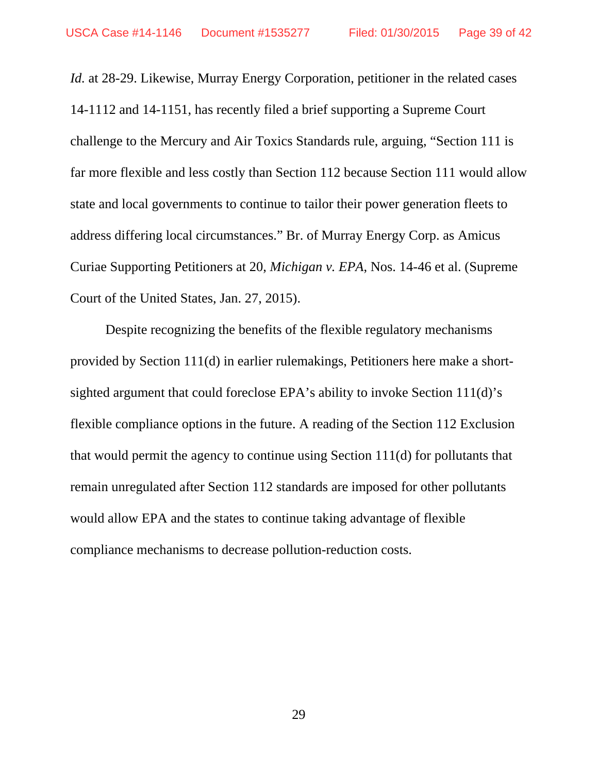*Id.* at 28-29. Likewise, Murray Energy Corporation, petitioner in the related cases 14-1112 and 14-1151, has recently filed a brief supporting a Supreme Court challenge to the Mercury and Air Toxics Standards rule, arguing, "Section 111 is far more flexible and less costly than Section 112 because Section 111 would allow state and local governments to continue to tailor their power generation fleets to address differing local circumstances." Br. of Murray Energy Corp. as Amicus Curiae Supporting Petitioners at 20, *Michigan v. EPA*, Nos. 14-46 et al. (Supreme Court of the United States, Jan. 27, 2015).

Despite recognizing the benefits of the flexible regulatory mechanisms provided by Section 111(d) in earlier rulemakings, Petitioners here make a shortsighted argument that could foreclose EPA's ability to invoke Section 111(d)'s flexible compliance options in the future. A reading of the Section 112 Exclusion that would permit the agency to continue using Section 111(d) for pollutants that remain unregulated after Section 112 standards are imposed for other pollutants would allow EPA and the states to continue taking advantage of flexible compliance mechanisms to decrease pollution-reduction costs.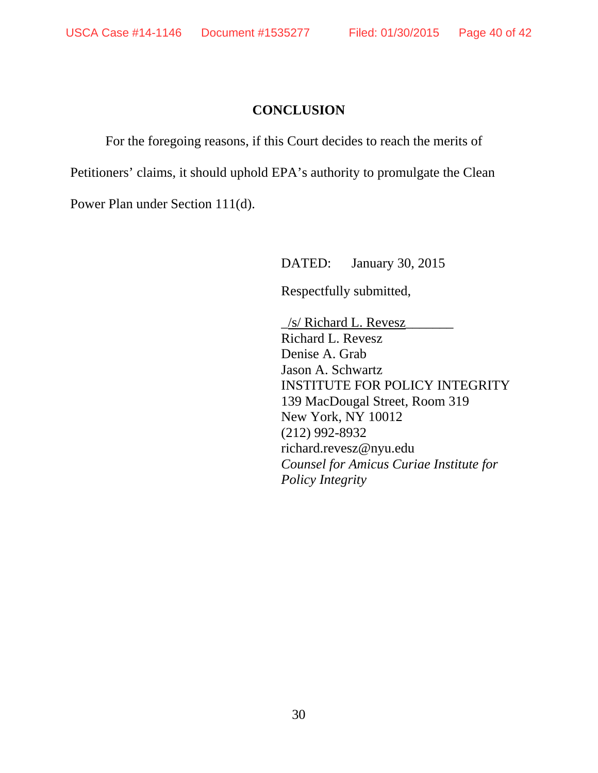## **CONCLUSION**

For the foregoing reasons, if this Court decides to reach the merits of Petitioners' claims, it should uphold EPA's authority to promulgate the Clean Power Plan under Section 111(d).

DATED: January 30, 2015

Respectfully submitted,

\_/s/ Richard L. Revesz\_\_\_\_\_\_\_ Richard L. Revesz Denise A. Grab Jason A. Schwartz INSTITUTE FOR POLICY INTEGRITY 139 MacDougal Street, Room 319 New York, NY 10012 (212) 992-8932 richard.revesz@nyu.edu *Counsel for Amicus Curiae Institute for Policy Integrity*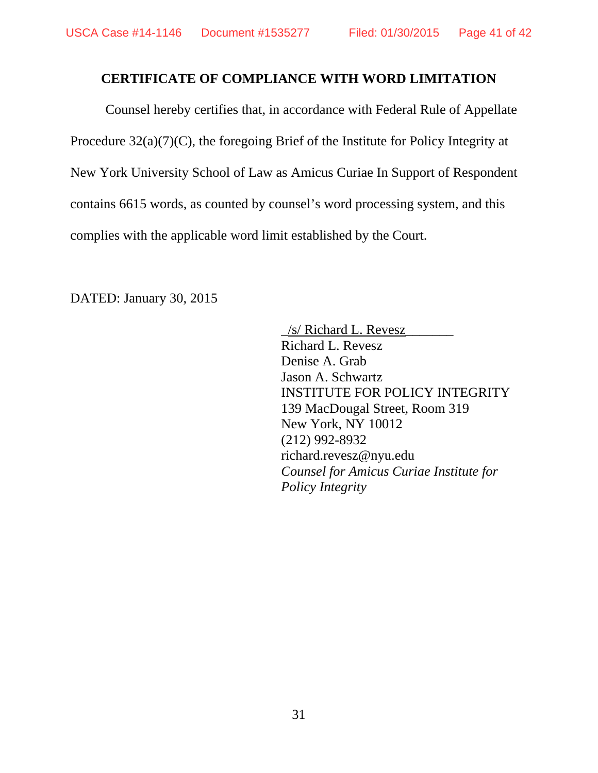### **CERTIFICATE OF COMPLIANCE WITH WORD LIMITATION**

 Counsel hereby certifies that, in accordance with Federal Rule of Appellate Procedure 32(a)(7)(C), the foregoing Brief of the Institute for Policy Integrity at New York University School of Law as Amicus Curiae In Support of Respondent contains 6615 words, as counted by counsel's word processing system, and this complies with the applicable word limit established by the Court.

DATED: January 30, 2015

 $\frac{1}{s}$  Richard L. Revesz Richard L. Revesz Denise A. Grab Jason A. Schwartz INSTITUTE FOR POLICY INTEGRITY 139 MacDougal Street, Room 319 New York, NY 10012 (212) 992-8932 richard.revesz@nyu.edu *Counsel for Amicus Curiae Institute for Policy Integrity*